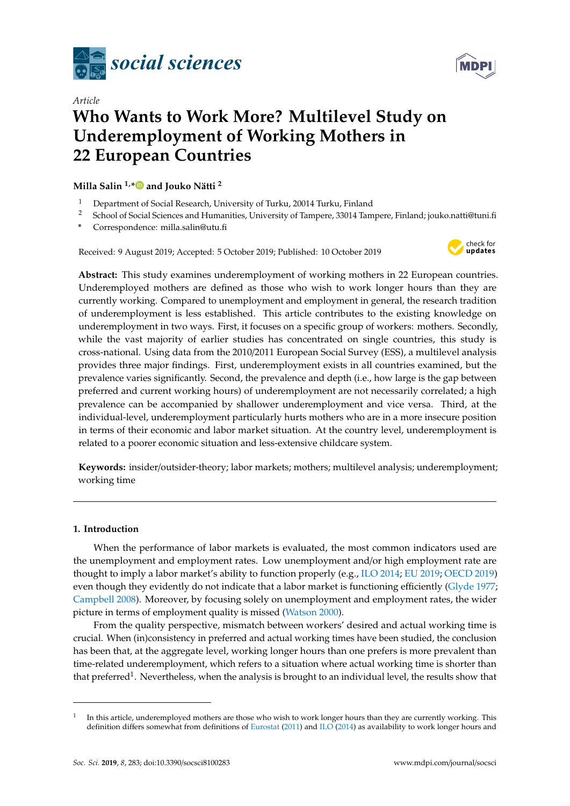



# *Article* **Who Wants to Work More? Multilevel Study on Underemployment of Working Mothers in 22 European Countries**

### **Milla Salin 1,[\\*](https://orcid.org/0000-0003-0816-5873) and Jouko Nätti <sup>2</sup>**

- <sup>1</sup> Department of Social Research, University of Turku, 20014 Turku, Finland<br><sup>2</sup> School of Social Sciences and Humanities University of Tampere, 33014 Tam
- <sup>2</sup> School of Social Sciences and Humanities, University of Tampere, 33014 Tampere, Finland; jouko.natti@tuni.fi
- **\*** Correspondence: milla.salin@utu.fi

Received: 9 August 2019; Accepted: 5 October 2019; Published: 10 October 2019



**Abstract:** This study examines underemployment of working mothers in 22 European countries. Underemployed mothers are defined as those who wish to work longer hours than they are currently working. Compared to unemployment and employment in general, the research tradition of underemployment is less established. This article contributes to the existing knowledge on underemployment in two ways. First, it focuses on a specific group of workers: mothers. Secondly, while the vast majority of earlier studies has concentrated on single countries, this study is cross-national. Using data from the 2010/2011 European Social Survey (ESS), a multilevel analysis provides three major findings. First, underemployment exists in all countries examined, but the prevalence varies significantly. Second, the prevalence and depth (i.e., how large is the gap between preferred and current working hours) of underemployment are not necessarily correlated; a high prevalence can be accompanied by shallower underemployment and vice versa. Third, at the individual-level, underemployment particularly hurts mothers who are in a more insecure position in terms of their economic and labor market situation. At the country level, underemployment is related to a poorer economic situation and less-extensive childcare system.

**Keywords:** insider/outsider-theory; labor markets; mothers; multilevel analysis; underemployment; working time

### **1. Introduction**

When the performance of labor markets is evaluated, the most common indicators used are the unemployment and employment rates. Low unemployment and/or high employment rate are thought to imply a labor market's ability to function properly (e.g., [ILO 2014;](#page-20-0) [EU 2019;](#page-20-1) [OECD 2019\)](#page-21-0) even though they evidently do not indicate that a labor market is functioning efficiently [\(Glyde 1977;](#page-20-2) [Campbell 2008\)](#page-19-0). Moreover, by focusing solely on unemployment and employment rates, the wider picture in terms of employment quality is missed [\(Watson 2000\)](#page-21-1).

From the quality perspective, mismatch between workers' desired and actual working time is crucial. When (in)consistency in preferred and actual working times have been studied, the conclusion has been that, at the aggregate level, working longer hours than one prefers is more prevalent than time-related underemployment, which refers to a situation where actual working time is shorter than that preferred<sup>1</sup>. Nevertheless, when the analysis is brought to an individual level, the results show that

<sup>1</sup> In this article, underemployed mothers are those who wish to work longer hours than they are currently working. This definition differs somewhat from definitions of [Eurostat](#page-20-3) [\(2011\)](#page-20-3) and [ILO](#page-20-0) [\(2014\)](#page-20-0) as availability to work longer hours and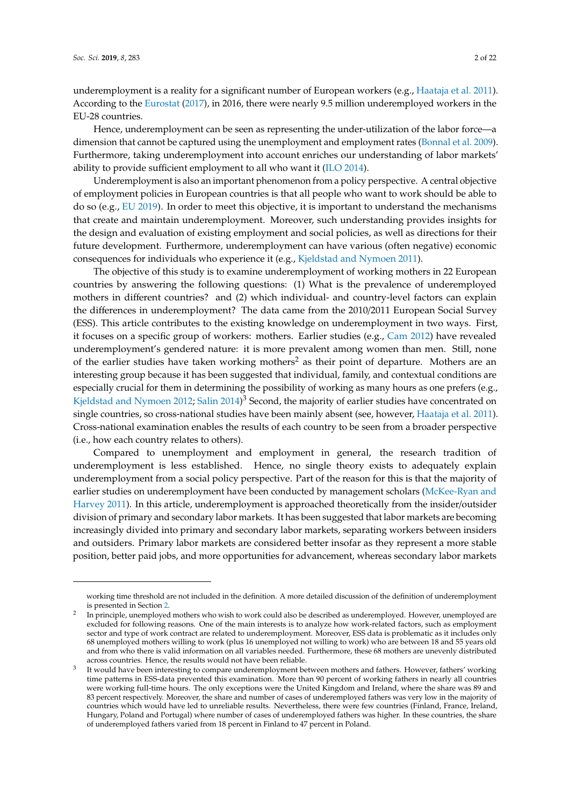underemployment is a reality for a significant number of European workers (e.g., [Haataja et al. 2011\)](#page-20-4). According to the [Eurostat](#page-20-5) [\(2017\)](#page-20-5), in 2016, there were nearly 9.5 million underemployed workers in the EU-28 countries.

Hence, underemployment can be seen as representing the under-utilization of the labor force—a dimension that cannot be captured using the unemployment and employment rates [\(Bonnal et al. 2009\)](#page-19-1). Furthermore, taking underemployment into account enriches our understanding of labor markets' ability to provide sufficient employment to all who want it [\(ILO 2014\)](#page-20-0).

Underemployment is also an important phenomenon from a policy perspective. A central objective of employment policies in European countries is that all people who want to work should be able to do so (e.g., [EU 2019\)](#page-20-1). In order to meet this objective, it is important to understand the mechanisms that create and maintain underemployment. Moreover, such understanding provides insights for the design and evaluation of existing employment and social policies, as well as directions for their future development. Furthermore, underemployment can have various (often negative) economic consequences for individuals who experience it (e.g., [Kjeldstad and Nymoen 2011\)](#page-20-6).

The objective of this study is to examine underemployment of working mothers in 22 European countries by answering the following questions: (1) What is the prevalence of underemployed mothers in different countries? and (2) which individual- and country-level factors can explain the differences in underemployment? The data came from the 2010/2011 European Social Survey (ESS). This article contributes to the existing knowledge on underemployment in two ways. First, it focuses on a specific group of workers: mothers. Earlier studies (e.g., [Cam 2012\)](#page-19-2) have revealed underemployment's gendered nature: it is more prevalent among women than men. Still, none of the earlier studies have taken working mothers<sup>2</sup> as their point of departure. Mothers are an interesting group because it has been suggested that individual, family, and contextual conditions are especially crucial for them in determining the possibility of working as many hours as one prefers (e.g., [Kjeldstad and Nymoen 2012;](#page-21-2) [Salin 2014\)](#page-21-3)<sup>3</sup> Second, the majority of earlier studies have concentrated on single countries, so cross-national studies have been mainly absent (see, however, [Haataja et al. 2011\)](#page-20-4). Cross-national examination enables the results of each country to be seen from a broader perspective (i.e., how each country relates to others).

Compared to unemployment and employment in general, the research tradition of underemployment is less established. Hence, no single theory exists to adequately explain underemployment from a social policy perspective. Part of the reason for this is that the majority of earlier studies on underemployment have been conducted by management scholars [\(McKee-Ryan and](#page-21-4) [Harvey 2011\)](#page-21-4). In this article, underemployment is approached theoretically from the insider/outsider division of primary and secondary labor markets. It has been suggested that labor markets are becoming increasingly divided into primary and secondary labor markets, separating workers between insiders and outsiders. Primary labor markets are considered better insofar as they represent a more stable position, better paid jobs, and more opportunities for advancement, whereas secondary labor markets

working time threshold are not included in the definition. A more detailed discussion of the definition of underemployment is presented in Section [2.](#page-2-0)

<sup>2</sup> In principle, unemployed mothers who wish to work could also be described as underemployed. However, unemployed are excluded for following reasons. One of the main interests is to analyze how work-related factors, such as employment sector and type of work contract are related to underemployment. Moreover, ESS data is problematic as it includes only 68 unemployed mothers willing to work (plus 16 unemployed not willing to work) who are between 18 and 55 years old and from who there is valid information on all variables needed. Furthermore, these 68 mothers are unevenly distributed across countries. Hence, the results would not have been reliable.

<sup>&</sup>lt;sup>3</sup> It would have been interesting to compare underemployment between mothers and fathers. However, fathers' working time patterns in ESS-data prevented this examination. More than 90 percent of working fathers in nearly all countries were working full-time hours. The only exceptions were the United Kingdom and Ireland, where the share was 89 and 83 percent respectively. Moreover, the share and number of cases of underemployed fathers was very low in the majority of countries which would have led to unreliable results. Nevertheless, there were few countries (Finland, France, Ireland, Hungary, Poland and Portugal) where number of cases of underemployed fathers was higher. In these countries, the share of underemployed fathers varied from 18 percent in Finland to 47 percent in Poland.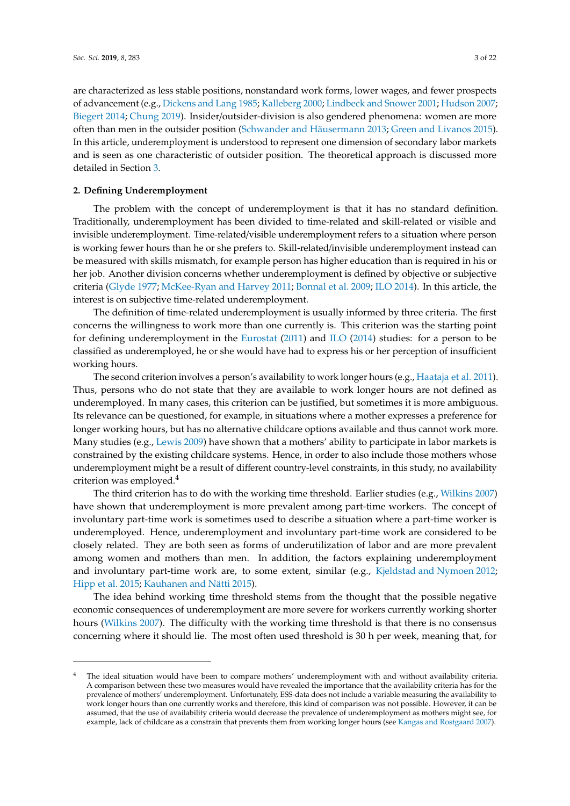are characterized as less stable positions, nonstandard work forms, lower wages, and fewer prospects of advancement (e.g., [Dickens and Lang 1985;](#page-20-7) [Kalleberg 2000;](#page-20-8) [Lindbeck and Snower 2001;](#page-21-5) [Hudson 2007;](#page-20-9) [Biegert 2014;](#page-19-3) [Chung 2019\)](#page-20-10). Insider/outsider-division is also gendered phenomena: women are more often than men in the outsider position [\(Schwander and Häusermann 2013;](#page-21-6) [Green and Livanos 2015\)](#page-20-11). In this article, underemployment is understood to represent one dimension of secondary labor markets and is seen as one characteristic of outsider position. The theoretical approach is discussed more detailed in Section [3.](#page-3-0)

#### <span id="page-2-0"></span>**2. Defining Underemployment**

The problem with the concept of underemployment is that it has no standard definition. Traditionally, underemployment has been divided to time-related and skill-related or visible and invisible underemployment. Time-related/visible underemployment refers to a situation where person is working fewer hours than he or she prefers to. Skill-related/invisible underemployment instead can be measured with skills mismatch, for example person has higher education than is required in his or her job. Another division concerns whether underemployment is defined by objective or subjective criteria [\(Glyde 1977;](#page-20-2) [McKee-Ryan and Harvey 2011;](#page-21-4) [Bonnal et al. 2009;](#page-19-1) [ILO 2014\)](#page-20-0). In this article, the interest is on subjective time-related underemployment.

The definition of time-related underemployment is usually informed by three criteria. The first concerns the willingness to work more than one currently is. This criterion was the starting point for defining underemployment in the [Eurostat](#page-20-3) [\(2011\)](#page-20-3) and [ILO](#page-20-0) [\(2014\)](#page-20-0) studies: for a person to be classified as underemployed, he or she would have had to express his or her perception of insufficient working hours.

The second criterion involves a person's availability to work longer hours (e.g., [Haataja et al. 2011\)](#page-20-4). Thus, persons who do not state that they are available to work longer hours are not defined as underemployed. In many cases, this criterion can be justified, but sometimes it is more ambiguous. Its relevance can be questioned, for example, in situations where a mother expresses a preference for longer working hours, but has no alternative childcare options available and thus cannot work more. Many studies (e.g., [Lewis 2009\)](#page-21-7) have shown that a mothers' ability to participate in labor markets is constrained by the existing childcare systems. Hence, in order to also include those mothers whose underemployment might be a result of different country-level constraints, in this study, no availability criterion was employed.<sup>4</sup>

The third criterion has to do with the working time threshold. Earlier studies (e.g., [Wilkins 2007\)](#page-21-8) have shown that underemployment is more prevalent among part-time workers. The concept of involuntary part-time work is sometimes used to describe a situation where a part-time worker is underemployed. Hence, underemployment and involuntary part-time work are considered to be closely related. They are both seen as forms of underutilization of labor and are more prevalent among women and mothers than men. In addition, the factors explaining underemployment and involuntary part-time work are, to some extent, similar (e.g., [Kjeldstad and Nymoen 2012;](#page-21-2) [Hipp et al. 2015;](#page-20-12) [Kauhanen and Nätti 2015\)](#page-20-13).

The idea behind working time threshold stems from the thought that the possible negative economic consequences of underemployment are more severe for workers currently working shorter hours [\(Wilkins 2007\)](#page-21-8). The difficulty with the working time threshold is that there is no consensus concerning where it should lie. The most often used threshold is 30 h per week, meaning that, for

The ideal situation would have been to compare mothers' underemployment with and without availability criteria. A comparison between these two measures would have revealed the importance that the availability criteria has for the prevalence of mothers' underemployment. Unfortunately, ESS-data does not include a variable measuring the availability to work longer hours than one currently works and therefore, this kind of comparison was not possible. However, it can be assumed, that the use of availability criteria would decrease the prevalence of underemployment as mothers might see, for example, lack of childcare as a constrain that prevents them from working longer hours (see [Kangas and Rostgaard 2007\)](#page-20-14).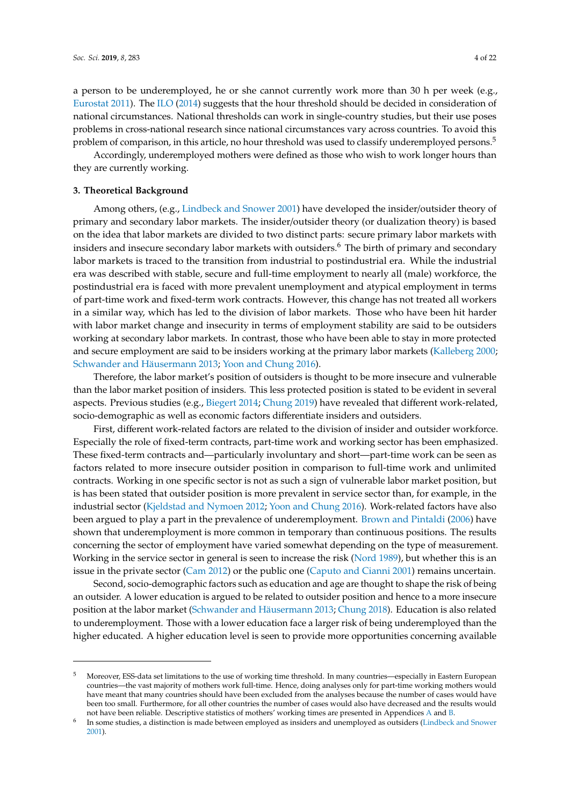a person to be underemployed, he or she cannot currently work more than 30 h per week (e.g., [Eurostat 2011\)](#page-20-3). The [ILO](#page-20-0) [\(2014\)](#page-20-0) suggests that the hour threshold should be decided in consideration of national circumstances. National thresholds can work in single-country studies, but their use poses problems in cross-national research since national circumstances vary across countries. To avoid this problem of comparison, in this article, no hour threshold was used to classify underemployed persons.<sup>5</sup>

Accordingly, underemployed mothers were defined as those who wish to work longer hours than they are currently working.

#### <span id="page-3-0"></span>**3. Theoretical Background**

Among others, (e.g., [Lindbeck and Snower 2001\)](#page-21-5) have developed the insider/outsider theory of primary and secondary labor markets. The insider/outsider theory (or dualization theory) is based on the idea that labor markets are divided to two distinct parts: secure primary labor markets with insiders and insecure secondary labor markets with outsiders.<sup>6</sup> The birth of primary and secondary labor markets is traced to the transition from industrial to postindustrial era. While the industrial era was described with stable, secure and full-time employment to nearly all (male) workforce, the postindustrial era is faced with more prevalent unemployment and atypical employment in terms of part-time work and fixed-term work contracts. However, this change has not treated all workers in a similar way, which has led to the division of labor markets. Those who have been hit harder with labor market change and insecurity in terms of employment stability are said to be outsiders working at secondary labor markets. In contrast, those who have been able to stay in more protected and secure employment are said to be insiders working at the primary labor markets [\(Kalleberg 2000;](#page-20-8) [Schwander and Häusermann 2013;](#page-21-6) [Yoon and Chung 2016\)](#page-21-9).

Therefore, the labor market's position of outsiders is thought to be more insecure and vulnerable than the labor market position of insiders. This less protected position is stated to be evident in several aspects. Previous studies (e.g., [Biegert 2014;](#page-19-3) [Chung 2019\)](#page-20-10) have revealed that different work-related, socio-demographic as well as economic factors differentiate insiders and outsiders.

First, different work-related factors are related to the division of insider and outsider workforce. Especially the role of fixed-term contracts, part-time work and working sector has been emphasized. These fixed-term contracts and—particularly involuntary and short—part-time work can be seen as factors related to more insecure outsider position in comparison to full-time work and unlimited contracts. Working in one specific sector is not as such a sign of vulnerable labor market position, but is has been stated that outsider position is more prevalent in service sector than, for example, in the industrial sector [\(Kjeldstad and Nymoen 2012;](#page-21-2) [Yoon and Chung 2016\)](#page-21-9). Work-related factors have also been argued to play a part in the prevalence of underemployment. [Brown and Pintaldi](#page-19-4) [\(2006\)](#page-19-4) have shown that underemployment is more common in temporary than continuous positions. The results concerning the sector of employment have varied somewhat depending on the type of measurement. Working in the service sector in general is seen to increase the risk [\(Nord 1989\)](#page-21-10), but whether this is an issue in the private sector [\(Cam 2012\)](#page-19-2) or the public one [\(Caputo and Cianni 2001\)](#page-19-5) remains uncertain.

Second, socio-demographic factors such as education and age are thought to shape the risk of being an outsider. A lower education is argued to be related to outsider position and hence to a more insecure position at the labor market [\(Schwander and Häusermann 2013;](#page-21-6) [Chung 2018\)](#page-20-15). Education is also related to underemployment. Those with a lower education face a larger risk of being underemployed than the higher educated. A higher education level is seen to provide more opportunities concerning available

<sup>5</sup> Moreover, ESS-data set limitations to the use of working time threshold. In many countries—especially in Eastern European countries—the vast majority of mothers work full-time. Hence, doing analyses only for part-time working mothers would have meant that many countries should have been excluded from the analyses because the number of cases would have been too small. Furthermore, for all other countries the number of cases would also have decreased and the results would not have been reliable. Descriptive statistics of mothers' working times are presented in Appendices [A](#page-16-0) and [B.](#page-17-0)

<sup>6</sup> In some studies, a distinction is made between employed as insiders and unemployed as outsiders [\(Lindbeck and Snower](#page-21-5) [2001\)](#page-21-5).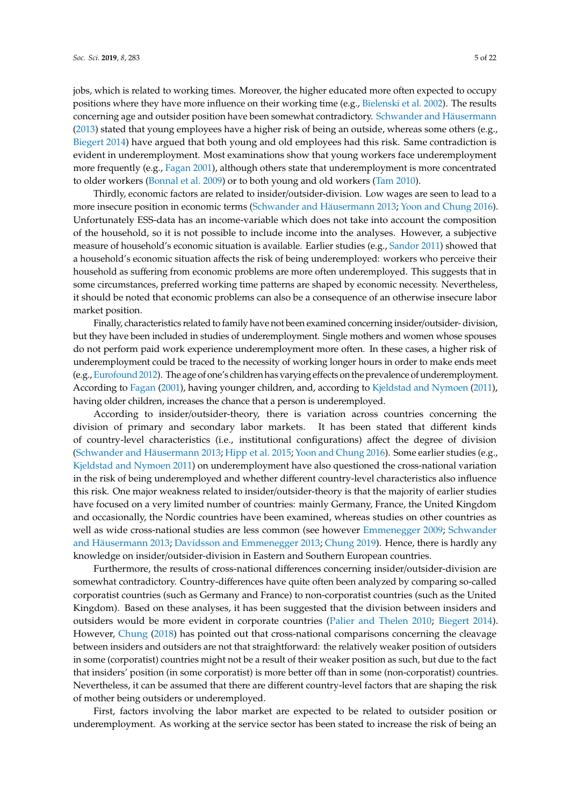jobs, which is related to working times. Moreover, the higher educated more often expected to occupy positions where they have more influence on their working time (e.g., [Bielenski et al. 2002\)](#page-19-6). The results concerning age and outsider position have been somewhat contradictory. [Schwander and Häusermann](#page-21-6) [\(2013\)](#page-21-6) stated that young employees have a higher risk of being an outside, whereas some others (e.g., [Biegert 2014\)](#page-19-3) have argued that both young and old employees had this risk. Same contradiction is evident in underemployment. Most examinations show that young workers face underemployment more frequently (e.g., [Fagan 2001\)](#page-20-16), although others state that underemployment is more concentrated to older workers [\(Bonnal et al. 2009\)](#page-19-1) or to both young and old workers [\(Tam 2010\)](#page-21-11).

Thirdly, economic factors are related to insider/outsider-division. Low wages are seen to lead to a more insecure position in economic terms [\(Schwander and Häusermann 2013;](#page-21-6) [Yoon and Chung 2016\)](#page-21-9). Unfortunately ESS-data has an income-variable which does not take into account the composition of the household, so it is not possible to include income into the analyses. However, a subjective measure of household's economic situation is available. Earlier studies (e.g., [Sandor 2011\)](#page-21-12) showed that a household's economic situation affects the risk of being underemployed: workers who perceive their household as suffering from economic problems are more often underemployed. This suggests that in some circumstances, preferred working time patterns are shaped by economic necessity. Nevertheless, it should be noted that economic problems can also be a consequence of an otherwise insecure labor market position.

Finally, characteristics related to family have not been examined concerning insider/outsider- division, but they have been included in studies of underemployment. Single mothers and women whose spouses do not perform paid work experience underemployment more often. In these cases, a higher risk of underemployment could be traced to the necessity of working longer hours in order to make ends meet (e.g., [Eurofound 2012\)](#page-20-17). The age of one's children has varying effects on the prevalence of underemployment. According to [Fagan](#page-20-16) [\(2001\)](#page-20-16), having younger children, and, according to [Kjeldstad and Nymoen](#page-20-6) [\(2011\)](#page-20-6), having older children, increases the chance that a person is underemployed.

According to insider/outsider-theory, there is variation across countries concerning the division of primary and secondary labor markets. It has been stated that different kinds of country-level characteristics (i.e., institutional configurations) affect the degree of division [\(Schwander and Häusermann 2013;](#page-21-6) [Hipp et al. 2015;](#page-20-12) [Yoon and Chung 2016\)](#page-21-9). Some earlier studies (e.g., [Kjeldstad and Nymoen 2011\)](#page-20-6) on underemployment have also questioned the cross-national variation in the risk of being underemployed and whether different country-level characteristics also influence this risk. One major weakness related to insider/outsider-theory is that the majority of earlier studies have focused on a very limited number of countries: mainly Germany, France, the United Kingdom and occasionally, the Nordic countries have been examined, whereas studies on other countries as well as wide cross-national studies are less common (see however [Emmenegger 2009;](#page-20-18) [Schwander](#page-21-6) [and Häusermann 2013;](#page-21-6) [Davidsson and Emmenegger 2013;](#page-20-19) [Chung 2019\)](#page-20-10). Hence, there is hardly any knowledge on insider/outsider-division in Eastern and Southern European countries.

Furthermore, the results of cross-national differences concerning insider/outsider-division are somewhat contradictory. Country-differences have quite often been analyzed by comparing so-called corporatist countries (such as Germany and France) to non-corporatist countries (such as the United Kingdom). Based on these analyses, it has been suggested that the division between insiders and outsiders would be more evident in corporate countries [\(Palier and Thelen 2010;](#page-21-13) [Biegert 2014\)](#page-19-3). However, [Chung](#page-20-15) [\(2018\)](#page-20-15) has pointed out that cross-national comparisons concerning the cleavage between insiders and outsiders are not that straightforward: the relatively weaker position of outsiders in some (corporatist) countries might not be a result of their weaker position as such, but due to the fact that insiders' position (in some corporatist) is more better off than in some (non-corporatist) countries. Nevertheless, it can be assumed that there are different country-level factors that are shaping the risk of mother being outsiders or underemployed.

First, factors involving the labor market are expected to be related to outsider position or underemployment. As working at the service sector has been stated to increase the risk of being an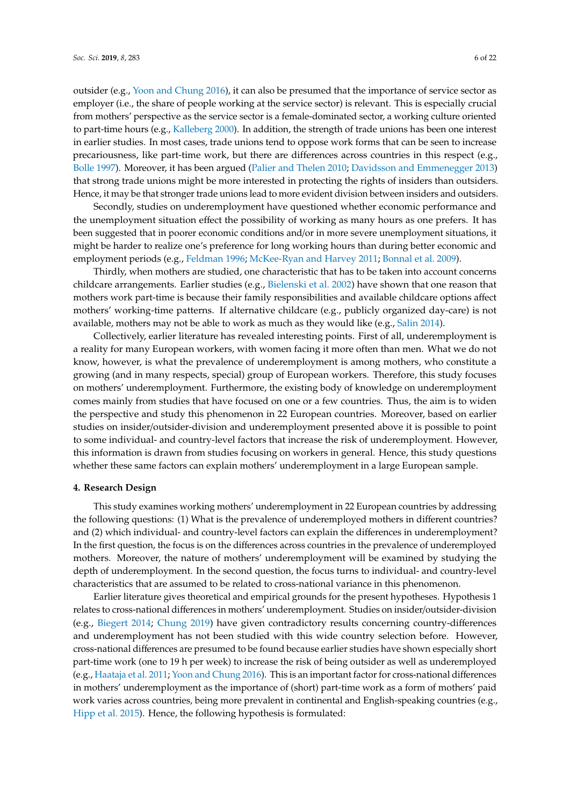outsider (e.g., [Yoon and Chung 2016\)](#page-21-9), it can also be presumed that the importance of service sector as employer (i.e., the share of people working at the service sector) is relevant. This is especially crucial from mothers' perspective as the service sector is a female-dominated sector, a working culture oriented to part-time hours (e.g., [Kalleberg 2000\)](#page-20-8). In addition, the strength of trade unions has been one interest in earlier studies. In most cases, trade unions tend to oppose work forms that can be seen to increase precariousness, like part-time work, but there are differences across countries in this respect (e.g., [Bolle 1997\)](#page-19-7). Moreover, it has been argued [\(Palier and Thelen 2010;](#page-21-13) [Davidsson and Emmenegger 2013\)](#page-20-19) that strong trade unions might be more interested in protecting the rights of insiders than outsiders. Hence, it may be that stronger trade unions lead to more evident division between insiders and outsiders.

Secondly, studies on underemployment have questioned whether economic performance and the unemployment situation effect the possibility of working as many hours as one prefers. It has been suggested that in poorer economic conditions and/or in more severe unemployment situations, it might be harder to realize one's preference for long working hours than during better economic and employment periods (e.g., [Feldman 1996;](#page-20-20) [McKee-Ryan and Harvey 2011;](#page-21-4) [Bonnal et al. 2009\)](#page-19-1).

Thirdly, when mothers are studied, one characteristic that has to be taken into account concerns childcare arrangements. Earlier studies (e.g., [Bielenski et al. 2002\)](#page-19-6) have shown that one reason that mothers work part-time is because their family responsibilities and available childcare options affect mothers' working-time patterns. If alternative childcare (e.g., publicly organized day-care) is not available, mothers may not be able to work as much as they would like (e.g., [Salin 2014\)](#page-21-3).

Collectively, earlier literature has revealed interesting points. First of all, underemployment is a reality for many European workers, with women facing it more often than men. What we do not know, however, is what the prevalence of underemployment is among mothers, who constitute a growing (and in many respects, special) group of European workers. Therefore, this study focuses on mothers' underemployment. Furthermore, the existing body of knowledge on underemployment comes mainly from studies that have focused on one or a few countries. Thus, the aim is to widen the perspective and study this phenomenon in 22 European countries. Moreover, based on earlier studies on insider/outsider-division and underemployment presented above it is possible to point to some individual- and country-level factors that increase the risk of underemployment. However, this information is drawn from studies focusing on workers in general. Hence, this study questions whether these same factors can explain mothers' underemployment in a large European sample.

#### **4. Research Design**

This study examines working mothers' underemployment in 22 European countries by addressing the following questions: (1) What is the prevalence of underemployed mothers in different countries? and (2) which individual- and country-level factors can explain the differences in underemployment? In the first question, the focus is on the differences across countries in the prevalence of underemployed mothers. Moreover, the nature of mothers' underemployment will be examined by studying the depth of underemployment. In the second question, the focus turns to individual- and country-level characteristics that are assumed to be related to cross-national variance in this phenomenon.

Earlier literature gives theoretical and empirical grounds for the present hypotheses. Hypothesis 1 relates to cross-national differences in mothers' underemployment. Studies on insider/outsider-division (e.g., [Biegert 2014;](#page-19-3) [Chung 2019\)](#page-20-10) have given contradictory results concerning country-differences and underemployment has not been studied with this wide country selection before. However, cross-national differences are presumed to be found because earlier studies have shown especially short part-time work (one to 19 h per week) to increase the risk of being outsider as well as underemployed (e.g., [Haataja et al. 2011;](#page-20-4) [Yoon and Chung 2016\)](#page-21-9). This is an important factor for cross-national differences in mothers' underemployment as the importance of (short) part-time work as a form of mothers' paid work varies across countries, being more prevalent in continental and English-speaking countries (e.g., [Hipp et al. 2015\)](#page-20-12). Hence, the following hypothesis is formulated: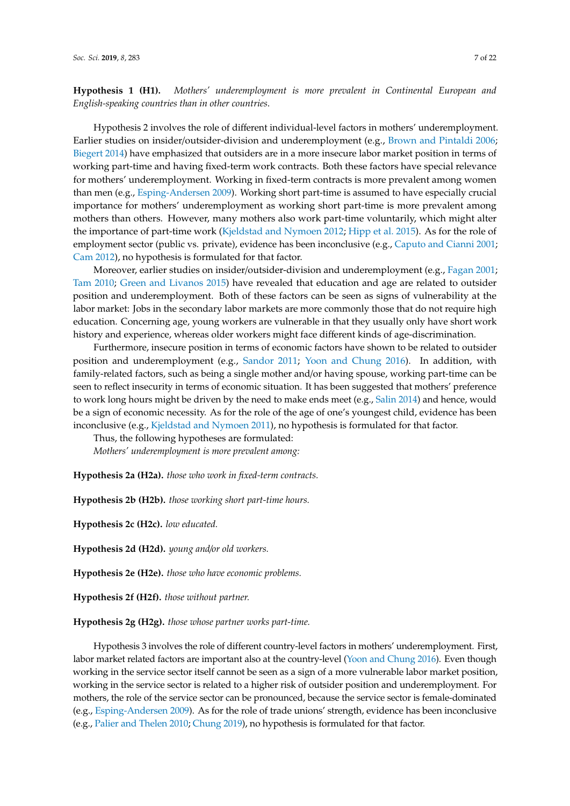**Hypothesis 1 (H1).** *Mothers' underemployment is more prevalent in Continental European and English-speaking countries than in other countries*.

Hypothesis 2 involves the role of different individual-level factors in mothers' underemployment. Earlier studies on insider/outsider-division and underemployment (e.g., [Brown and Pintaldi 2006;](#page-19-4) [Biegert 2014\)](#page-19-3) have emphasized that outsiders are in a more insecure labor market position in terms of working part-time and having fixed-term work contracts. Both these factors have special relevance for mothers' underemployment. Working in fixed-term contracts is more prevalent among women than men (e.g., [Esping-Andersen 2009\)](#page-20-21). Working short part-time is assumed to have especially crucial importance for mothers' underemployment as working short part-time is more prevalent among mothers than others. However, many mothers also work part-time voluntarily, which might alter the importance of part-time work [\(Kjeldstad and Nymoen 2012;](#page-21-2) [Hipp et al. 2015\)](#page-20-12). As for the role of employment sector (public vs. private), evidence has been inconclusive (e.g., [Caputo and Cianni 2001;](#page-19-5) [Cam 2012\)](#page-19-2), no hypothesis is formulated for that factor.

Moreover, earlier studies on insider/outsider-division and underemployment (e.g., [Fagan 2001;](#page-20-16) [Tam 2010;](#page-21-11) [Green and Livanos 2015\)](#page-20-11) have revealed that education and age are related to outsider position and underemployment. Both of these factors can be seen as signs of vulnerability at the labor market: Jobs in the secondary labor markets are more commonly those that do not require high education. Concerning age, young workers are vulnerable in that they usually only have short work history and experience, whereas older workers might face different kinds of age-discrimination.

Furthermore, insecure position in terms of economic factors have shown to be related to outsider position and underemployment (e.g., [Sandor 2011;](#page-21-12) [Yoon and Chung 2016\)](#page-21-9). In addition, with family-related factors, such as being a single mother and/or having spouse, working part-time can be seen to reflect insecurity in terms of economic situation. It has been suggested that mothers' preference to work long hours might be driven by the need to make ends meet (e.g., [Salin 2014\)](#page-21-3) and hence, would be a sign of economic necessity. As for the role of the age of one's youngest child, evidence has been inconclusive (e.g., [Kjeldstad and Nymoen 2011\)](#page-20-6), no hypothesis is formulated for that factor.

Thus, the following hypotheses are formulated: *Mothers' underemployment is more prevalent among:*

**Hypothesis 2a (H2a).** *those who work in fixed-term contracts.*

**Hypothesis 2b (H2b).** *those working short part-time hours.*

**Hypothesis 2c (H2c).** *low educated.*

**Hypothesis 2d (H2d).** *young and*/*or old workers.*

**Hypothesis 2e (H2e).** *those who have economic problems.*

**Hypothesis 2f (H2f).** *those without partner.*

**Hypothesis 2g (H2g).** *those whose partner works part-time.*

Hypothesis 3 involves the role of different country-level factors in mothers' underemployment. First, labor market related factors are important also at the country-level [\(Yoon and Chung 2016\)](#page-21-9). Even though working in the service sector itself cannot be seen as a sign of a more vulnerable labor market position, working in the service sector is related to a higher risk of outsider position and underemployment. For mothers, the role of the service sector can be pronounced, because the service sector is female-dominated (e.g., [Esping-Andersen 2009\)](#page-20-21). As for the role of trade unions' strength, evidence has been inconclusive (e.g., [Palier and Thelen 2010;](#page-21-13) [Chung 2019\)](#page-20-10), no hypothesis is formulated for that factor.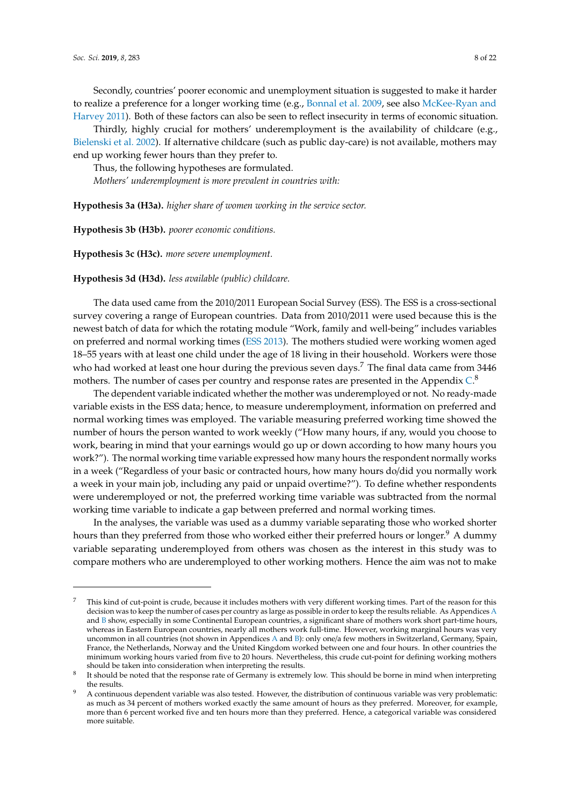Secondly, countries' poorer economic and unemployment situation is suggested to make it harder to realize a preference for a longer working time (e.g., [Bonnal et al. 2009,](#page-19-1) see also [McKee-Ryan and](#page-21-4) [Harvey 2011\)](#page-21-4). Both of these factors can also be seen to reflect insecurity in terms of economic situation.

Thirdly, highly crucial for mothers' underemployment is the availability of childcare (e.g., [Bielenski et al. 2002\)](#page-19-6). If alternative childcare (such as public day-care) is not available, mothers may end up working fewer hours than they prefer to.

Thus, the following hypotheses are formulated.

*Mothers' underemployment is more prevalent in countries with:*

**Hypothesis 3a (H3a).** *higher share of women working in the service sector.*

**Hypothesis 3b (H3b).** *poorer economic conditions.*

**Hypothesis 3c (H3c).** *more severe unemployment.*

#### **Hypothesis 3d (H3d).** *less available (public) childcare.*

The data used came from the 2010/2011 European Social Survey (ESS). The ESS is a cross-sectional survey covering a range of European countries. Data from 2010/2011 were used because this is the newest batch of data for which the rotating module "Work, family and well-being" includes variables on preferred and normal working times [\(ESS 2013\)](#page-20-22). The mothers studied were working women aged 18–55 years with at least one child under the age of 18 living in their household. Workers were those who had worked at least one hour during the previous seven days.<sup>7</sup> The final data came from 3446 mothers. The number of cases per country and response rates are presented in the Appendix  $\mathbb{C}^8$ 

The dependent variable indicated whether the mother was underemployed or not. No ready-made variable exists in the ESS data; hence, to measure underemployment, information on preferred and normal working times was employed. The variable measuring preferred working time showed the number of hours the person wanted to work weekly ("How many hours, if any, would you choose to work, bearing in mind that your earnings would go up or down according to how many hours you work?"). The normal working time variable expressed how many hours the respondent normally works in a week ("Regardless of your basic or contracted hours, how many hours do/did you normally work a week in your main job, including any paid or unpaid overtime?"). To define whether respondents were underemployed or not, the preferred working time variable was subtracted from the normal working time variable to indicate a gap between preferred and normal working times.

In the analyses, the variable was used as a dummy variable separating those who worked shorter hours than they preferred from those who worked either their preferred hours or longer.<sup>9</sup> A dummy variable separating underemployed from others was chosen as the interest in this study was to compare mothers who are underemployed to other working mothers. Hence the aim was not to make

<sup>7</sup> This kind of cut-point is crude, because it includes mothers with very different working times. Part of the reason for this decision was to keep the number of cases per country as large as possible in order to keep the results reliable. As Appendices [A](#page-16-0) and [B](#page-17-0) show, especially in some Continental European countries, a significant share of mothers work short part-time hours, whereas in Eastern European countries, nearly all mothers work full-time. However, working marginal hours was very uncommon in all countries (not shown in Appendices [A](#page-16-0) and [B\)](#page-17-0): only one/a few mothers in Switzerland, Germany, Spain, France, the Netherlands, Norway and the United Kingdom worked between one and four hours. In other countries the minimum working hours varied from five to 20 hours. Nevertheless, this crude cut-point for defining working mothers should be taken into consideration when interpreting the results.

<sup>8</sup> It should be noted that the response rate of Germany is extremely low. This should be borne in mind when interpreting the results.

<sup>9</sup> A continuous dependent variable was also tested. However, the distribution of continuous variable was very problematic: as much as 34 percent of mothers worked exactly the same amount of hours as they preferred. Moreover, for example, more than 6 percent worked five and ten hours more than they preferred. Hence, a categorical variable was considered more suitable.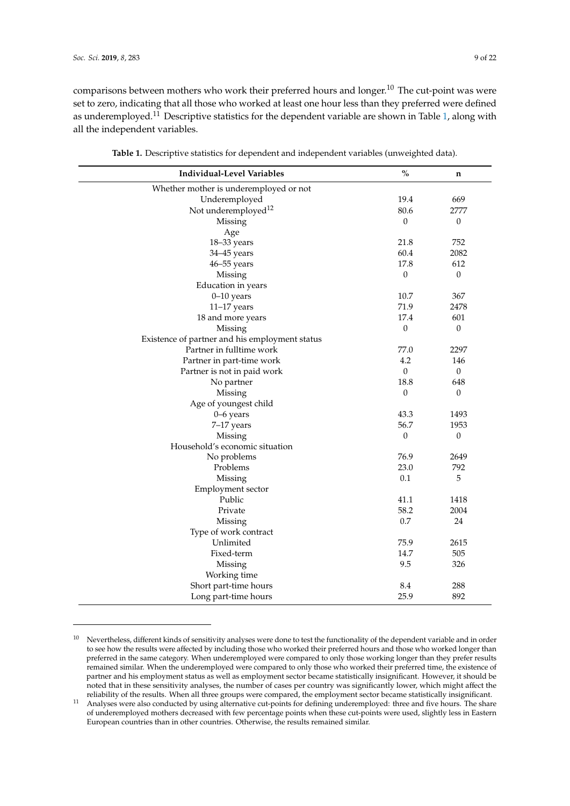comparisons between mothers who work their preferred hours and longer.<sup>10</sup> The cut-point was were set to zero, indicating that all those who worked at least one hour less than they preferred were defined as underemployed.<sup>11</sup> Descriptive statistics for the dependent variable are shown in Table [1,](#page-9-0) along with all the independent variables.

| <b>Individual-Level Variables</b>              | $\%$             | n                |
|------------------------------------------------|------------------|------------------|
| Whether mother is underemployed or not         |                  |                  |
| Underemployed                                  | 19.4             | 669              |
| Not underemployed <sup>12</sup>                | 80.6             | 2777             |
| Missing                                        | $\theta$         | $\boldsymbol{0}$ |
| Age                                            |                  |                  |
| 18-33 years                                    | 21.8             | 752              |
| 34-45 years                                    | 60.4             | 2082             |
| 46-55 years                                    | 17.8             | 612              |
| Missing                                        | $\mathbf{0}$     | $\boldsymbol{0}$ |
| Education in years                             |                  |                  |
| $0-10$ years                                   | 10.7             | 367              |
| $11-17$ years                                  | 71.9             | 2478             |
| 18 and more years                              | 17.4             | 601              |
| Missing                                        | $\boldsymbol{0}$ | $\boldsymbol{0}$ |
| Existence of partner and his employment status |                  |                  |
| Partner in fulltime work                       | 77.0             | 2297             |
| Partner in part-time work                      | 4.2              | 146              |
| Partner is not in paid work                    | $\mathbf{0}$     | $\mathbf{0}$     |
| No partner                                     | 18.8             | 648              |
| Missing                                        | $\theta$         | $\theta$         |
| Age of youngest child                          |                  |                  |
| 0-6 years                                      | 43.3             | 1493             |
| 7-17 years                                     | 56.7             | 1953             |
| Missing                                        | $\boldsymbol{0}$ | $\boldsymbol{0}$ |
| Household's economic situation                 |                  |                  |
| No problems                                    | 76.9             | 2649             |
| Problems                                       | 23.0             | 792              |
| Missing                                        | 0.1              | 5                |
| Employment sector                              |                  |                  |
| Public                                         | 41.1             | 1418             |
| Private                                        | 58.2             | 2004             |
| Missing                                        | 0.7              | 24               |
| Type of work contract                          |                  |                  |
| Unlimited                                      | 75.9             | 2615             |
| Fixed-term                                     | 14.7             | 505              |
| Missing                                        | 9.5              | 326              |
| Working time                                   |                  |                  |
| Short part-time hours                          | 8.4              | 288              |
| Long part-time hours                           | 25.9             | 892              |
|                                                |                  |                  |

**Table 1.** Descriptive statistics for dependent and independent variables (unweighted data).

<sup>&</sup>lt;sup>10</sup> Nevertheless, different kinds of sensitivity analyses were done to test the functionality of the dependent variable and in order to see how the results were affected by including those who worked their preferred hours and those who worked longer than preferred in the same category. When underemployed were compared to only those working longer than they prefer results remained similar. When the underemployed were compared to only those who worked their preferred time, the existence of partner and his employment status as well as employment sector became statistically insignificant. However, it should be noted that in these sensitivity analyses, the number of cases per country was significantly lower, which might affect the reliability of the results. When all three groups were compared, the employment sector became statistically insignificant.

<sup>11</sup> Analyses were also conducted by using alternative cut-points for defining underemployed: three and five hours. The share of underemployed mothers decreased with few percentage points when these cut-points were used, slightly less in Eastern European countries than in other countries. Otherwise, the results remained similar.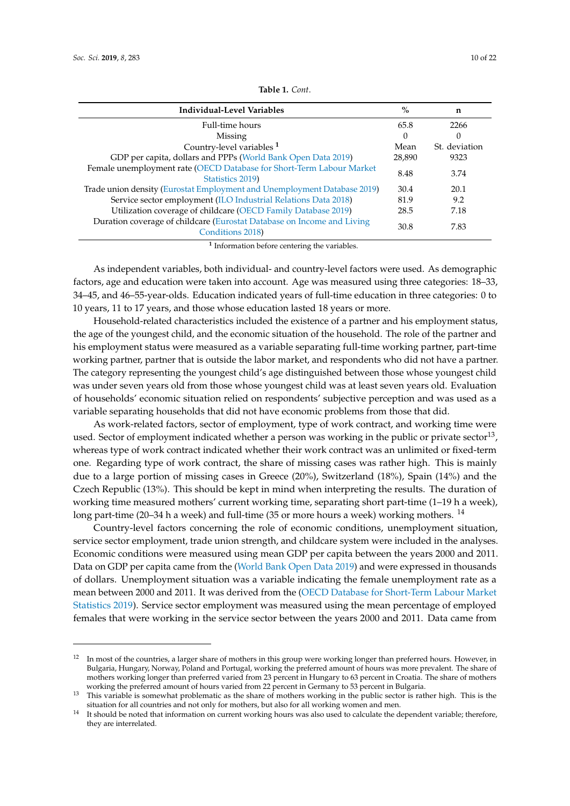<span id="page-9-0"></span>

| Individual-Level Variables                                                                 | $\%$   | n             |
|--------------------------------------------------------------------------------------------|--------|---------------|
| Full-time hours                                                                            | 65.8   | 2266          |
| Missing                                                                                    | 0      | 0             |
| Country-level variables <sup>1</sup>                                                       | Mean   | St. deviation |
| GDP per capita, dollars and PPPs (World Bank Open Data 2019)                               | 28,890 | 9323          |
| Female unemployment rate (OECD Database for Short-Term Labour Market<br>Statistics 2019)   | 8.48   | 3.74          |
| Trade union density (Eurostat Employment and Unemployment Database 2019)                   | 30.4   | 20.1          |
| Service sector employment (ILO Industrial Relations Data 2018)                             | 81.9   | 9.2           |
| Utilization coverage of childcare (OECD Family Database 2019)                              | 28.5   | 7.18          |
| Duration coverage of childcare (Eurostat Database on Income and Living<br>Conditions 2018) | 30.8   | 7.83          |
|                                                                                            |        |               |

**Table 1.** *Cont*.

**1** Information before centering the variables.

As independent variables, both individual- and country-level factors were used. As demographic factors, age and education were taken into account. Age was measured using three categories: 18–33, 34–45, and 46–55-year-olds. Education indicated years of full-time education in three categories: 0 to 10 years, 11 to 17 years, and those whose education lasted 18 years or more.

Household-related characteristics included the existence of a partner and his employment status, the age of the youngest child, and the economic situation of the household. The role of the partner and his employment status were measured as a variable separating full-time working partner, part-time working partner, partner that is outside the labor market, and respondents who did not have a partner. The category representing the youngest child's age distinguished between those whose youngest child was under seven years old from those whose youngest child was at least seven years old. Evaluation of households' economic situation relied on respondents' subjective perception and was used as a variable separating households that did not have economic problems from those that did.

As work-related factors, sector of employment, type of work contract, and working time were used. Sector of employment indicated whether a person was working in the public or private sector<sup>13</sup>, whereas type of work contract indicated whether their work contract was an unlimited or fixed-term one. Regarding type of work contract, the share of missing cases was rather high. This is mainly due to a large portion of missing cases in Greece (20%), Switzerland (18%), Spain (14%) and the Czech Republic (13%). This should be kept in mind when interpreting the results. The duration of working time measured mothers' current working time, separating short part-time (1–19 h a week), long part-time (20–34 h a week) and full-time (35 or more hours a week) working mothers. <sup>14</sup>

Country-level factors concerning the role of economic conditions, unemployment situation, service sector employment, trade union strength, and childcare system were included in the analyses. Economic conditions were measured using mean GDP per capita between the years 2000 and 2011. Data on GDP per capita came from the [\(World Bank Open Data 2019\)](#page-21-14) and were expressed in thousands of dollars. Unemployment situation was a variable indicating the female unemployment rate as a mean between 2000 and 2011. It was derived from the [\(OECD Database for Short-Term Labour Market](#page-21-15) [Statistics 2019\)](#page-21-15). Service sector employment was measured using the mean percentage of employed females that were working in the service sector between the years 2000 and 2011. Data came from

<sup>&</sup>lt;sup>12</sup> In most of the countries, a larger share of mothers in this group were working longer than preferred hours. However, in Bulgaria, Hungary, Norway, Poland and Portugal, working the preferred amount of hours was more prevalent. The share of mothers working longer than preferred varied from 23 percent in Hungary to 63 percent in Croatia. The share of mothers working the preferred amount of hours varied from 22 percent in Germany to 53 percent in Bulgaria.

<sup>&</sup>lt;sup>13</sup> This variable is somewhat problematic as the share of mothers working in the public sector is rather high. This is the situation for all countries and not only for mothers, but also for all working women and men.

<sup>14</sup> It should be noted that information on current working hours was also used to calculate the dependent variable; therefore, they are interrelated.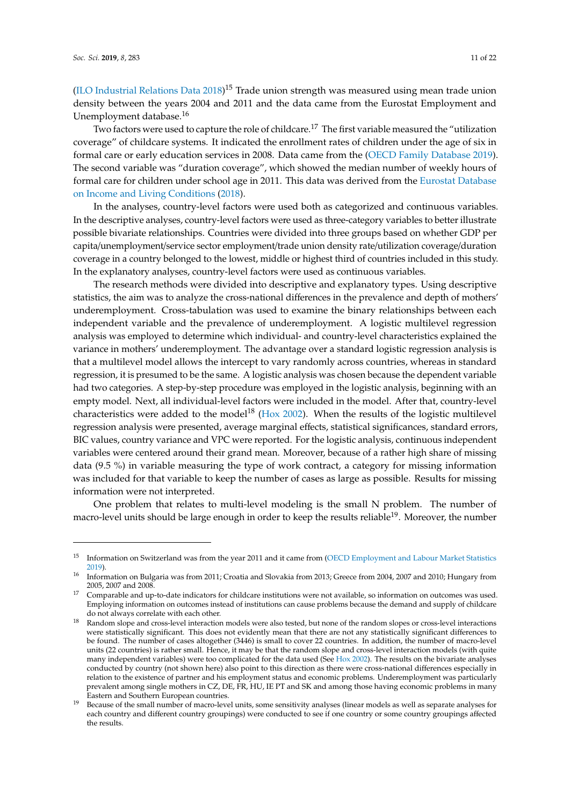[\(ILO Industrial Relations Data 2018\)](#page-20-24)<sup>15</sup> Trade union strength was measured using mean trade union density between the years 2004 and 2011 and the data came from the Eurostat Employment and Unemployment database.<sup>16</sup>

Two factors were used to capture the role of childcare.<sup>17</sup> The first variable measured the "utilization coverage" of childcare systems. It indicated the enrollment rates of children under the age of six in formal care or early education services in 2008. Data came from the [\(OECD Family Database 2019\)](#page-21-16). The second variable was "duration coverage", which showed the median number of weekly hours of formal care for children under school age in 2011. This data was derived from the [Eurostat Database](#page-20-25) [on Income and Living Conditions](#page-20-25) [\(2018\)](#page-20-25).

In the analyses, country-level factors were used both as categorized and continuous variables. In the descriptive analyses, country-level factors were used as three-category variables to better illustrate possible bivariate relationships. Countries were divided into three groups based on whether GDP per capita/unemployment/service sector employment/trade union density rate/utilization coverage/duration coverage in a country belonged to the lowest, middle or highest third of countries included in this study. In the explanatory analyses, country-level factors were used as continuous variables.

The research methods were divided into descriptive and explanatory types. Using descriptive statistics, the aim was to analyze the cross-national differences in the prevalence and depth of mothers' underemployment. Cross-tabulation was used to examine the binary relationships between each independent variable and the prevalence of underemployment. A logistic multilevel regression analysis was employed to determine which individual- and country-level characteristics explained the variance in mothers' underemployment. The advantage over a standard logistic regression analysis is that a multilevel model allows the intercept to vary randomly across countries, whereas in standard regression, it is presumed to be the same. A logistic analysis was chosen because the dependent variable had two categories. A step-by-step procedure was employed in the logistic analysis, beginning with an empty model. Next, all individual-level factors were included in the model. After that, country-level characteristics were added to the model<sup>18</sup> [\(Hox 2002\)](#page-20-26). When the results of the logistic multilevel regression analysis were presented, average marginal effects, statistical significances, standard errors, BIC values, country variance and VPC were reported. For the logistic analysis, continuous independent variables were centered around their grand mean. Moreover, because of a rather high share of missing data (9.5 %) in variable measuring the type of work contract, a category for missing information was included for that variable to keep the number of cases as large as possible. Results for missing information were not interpreted.

One problem that relates to multi-level modeling is the small N problem. The number of macro-level units should be large enough in order to keep the results reliable<sup>19</sup>. Moreover, the number

<sup>&</sup>lt;sup>15</sup> Information on Switzerland was from the year 2011 and it came from [\(OECD Employment and Labour Market Statistics](#page-21-17) [2019\)](#page-21-17).

<sup>16</sup> Information on Bulgaria was from 2011; Croatia and Slovakia from 2013; Greece from 2004, 2007 and 2010; Hungary from 2005, 2007 and 2008.

<sup>17</sup> Comparable and up-to-date indicators for childcare institutions were not available, so information on outcomes was used. Employing information on outcomes instead of institutions can cause problems because the demand and supply of childcare do not always correlate with each other.

<sup>18</sup> Random slope and cross-level interaction models were also tested, but none of the random slopes or cross-level interactions were statistically significant. This does not evidently mean that there are not any statistically significant differences to be found. The number of cases altogether (3446) is small to cover 22 countries. In addition, the number of macro-level units (22 countries) is rather small. Hence, it may be that the random slope and cross-level interaction models (with quite many independent variables) were too complicated for the data used (See [Hox 2002\)](#page-20-26). The results on the bivariate analyses conducted by country (not shown here) also point to this direction as there were cross-national differences especially in relation to the existence of partner and his employment status and economic problems. Underemployment was particularly prevalent among single mothers in CZ, DE, FR, HU, IE PT and SK and among those having economic problems in many Eastern and Southern European countries.

<sup>19</sup> Because of the small number of macro-level units, some sensitivity analyses (linear models as well as separate analyses for each country and different country groupings) were conducted to see if one country or some country groupings affected the results.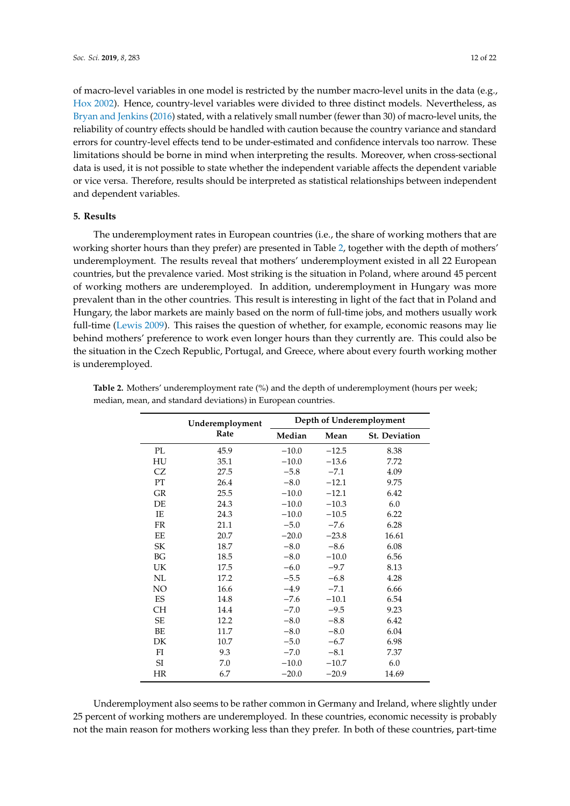of macro-level variables in one model is restricted by the number macro-level units in the data (e.g., [Hox 2002\)](#page-20-26). Hence, country-level variables were divided to three distinct models. Nevertheless, as [Bryan and Jenkins](#page-19-8) [\(2016\)](#page-19-8) stated, with a relatively small number (fewer than 30) of macro-level units, the reliability of country effects should be handled with caution because the country variance and standard errors for country-level effects tend to be under-estimated and confidence intervals too narrow. These limitations should be borne in mind when interpreting the results. Moreover, when cross-sectional data is used, it is not possible to state whether the independent variable affects the dependent variable or vice versa. Therefore, results should be interpreted as statistical relationships between independent and dependent variables.

#### **5. Results**

The underemployment rates in European countries (i.e., the share of working mothers that are working shorter hours than they prefer) are presented in Table [2,](#page-11-0) together with the depth of mothers' underemployment. The results reveal that mothers' underemployment existed in all 22 European countries, but the prevalence varied. Most striking is the situation in Poland, where around 45 percent of working mothers are underemployed. In addition, underemployment in Hungary was more prevalent than in the other countries. This result is interesting in light of the fact that in Poland and Hungary, the labor markets are mainly based on the norm of full-time jobs, and mothers usually work full-time [\(Lewis 2009\)](#page-21-7). This raises the question of whether, for example, economic reasons may lie behind mothers' preference to work even longer hours than they currently are. This could also be the situation in the Czech Republic, Portugal, and Greece, where about every fourth working mother is underemployed.

|           | Underemployment | Depth of Underemployment |         |                      |  |
|-----------|-----------------|--------------------------|---------|----------------------|--|
|           | Rate            | Median                   | Mean    | <b>St. Deviation</b> |  |
| PL        | 45.9            | $-10.0$                  | $-12.5$ | 8.38                 |  |
| HU        | 35.1            | $-10.0$                  | $-13.6$ | 7.72                 |  |
| CZ        | 27.5            | $-5.8$                   | $-7.1$  | 4.09                 |  |
| <b>PT</b> | 26.4            | $-8.0$                   | $-12.1$ | 9.75                 |  |
| <b>GR</b> | 25.5            | $-10.0$                  | $-12.1$ | 6.42                 |  |
| DE        | 24.3            | $-10.0$                  | $-10.3$ | 6.0                  |  |
| IE        | 24.3            | $-10.0$                  | $-10.5$ | 6.22                 |  |
| <b>FR</b> | 21.1            | $-5.0$                   | $-7.6$  | 6.28                 |  |
| EE        | 20.7            | $-20.0$                  | $-23.8$ | 16.61                |  |
| SK        | 18.7            | $-8.0$                   | $-8.6$  | 6.08                 |  |
| BG        | 18.5            | $-8.0$                   | $-10.0$ | 6.56                 |  |
| UK        | 17.5            | $-6.0$                   | $-9.7$  | 8.13                 |  |
| NL        | 17.2            | $-5.5$                   | $-6.8$  | 4.28                 |  |
| NO        | 16.6            | $-4.9$                   | $-7.1$  | 6.66                 |  |
| ES        | 14.8            | $-7.6$                   | $-10.1$ | 6.54                 |  |
| <b>CH</b> | 14.4            | $-7.0$                   | $-9.5$  | 9.23                 |  |
| <b>SE</b> | 12.2            | $-8.0$                   | $-8.8$  | 6.42                 |  |
| BE        | 11.7            | $-8.0$                   | $-8.0$  | 6.04                 |  |
| DK        | 10.7            | $-5.0$                   | $-6.7$  | 6.98                 |  |
| FI        | 9.3             | $-7.0$                   | $-8.1$  | 7.37                 |  |
| $\rm SI$  | 7.0             | $-10.0$                  | $-10.7$ | 6.0                  |  |
| HR        | 6.7             | $-20.0$                  | $-20.9$ | 14.69                |  |

<span id="page-11-0"></span>**Table 2.** Mothers' underemployment rate (%) and the depth of underemployment (hours per week; median, mean, and standard deviations) in European countries.

Underemployment also seems to be rather common in Germany and Ireland, where slightly under 25 percent of working mothers are underemployed. In these countries, economic necessity is probably not the main reason for mothers working less than they prefer. In both of these countries, part-time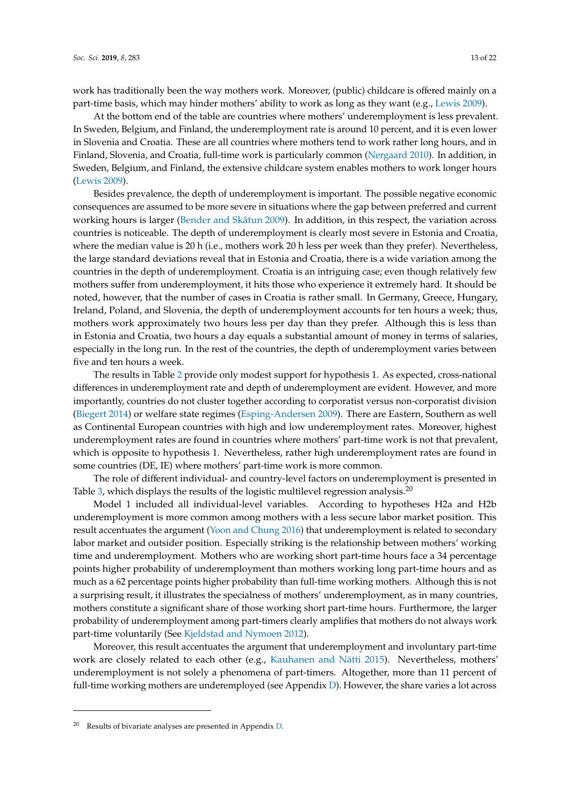work has traditionally been the way mothers work. Moreover, (public) childcare is offered mainly on a part-time basis, which may hinder mothers' ability to work as long as they want (e.g., [Lewis 2009\)](#page-21-7).

At the bottom end of the table are countries where mothers' underemployment is less prevalent. In Sweden, Belgium, and Finland, the underemployment rate is around 10 percent, and it is even lower in Slovenia and Croatia. These are all countries where mothers tend to work rather long hours, and in Finland, Slovenia, and Croatia, full-time work is particularly common [\(Nergaard 2010\)](#page-21-18). In addition, in Sweden, Belgium, and Finland, the extensive childcare system enables mothers to work longer hours [\(Lewis 2009\)](#page-21-7).

Besides prevalence, the depth of underemployment is important. The possible negative economic consequences are assumed to be more severe in situations where the gap between preferred and current working hours is larger [\(Bender and Skåtun 2009\)](#page-19-9). In addition, in this respect, the variation across countries is noticeable. The depth of underemployment is clearly most severe in Estonia and Croatia, where the median value is 20 h (i.e., mothers work 20 h less per week than they prefer). Nevertheless, the large standard deviations reveal that in Estonia and Croatia, there is a wide variation among the countries in the depth of underemployment. Croatia is an intriguing case; even though relatively few mothers suffer from underemployment, it hits those who experience it extremely hard. It should be noted, however, that the number of cases in Croatia is rather small. In Germany, Greece, Hungary, Ireland, Poland, and Slovenia, the depth of underemployment accounts for ten hours a week; thus, mothers work approximately two hours less per day than they prefer. Although this is less than in Estonia and Croatia, two hours a day equals a substantial amount of money in terms of salaries, especially in the long run. In the rest of the countries, the depth of underemployment varies between five and ten hours a week.

The results in Table [2](#page-11-0) provide only modest support for hypothesis 1. As expected, cross-national differences in underemployment rate and depth of underemployment are evident. However, and more importantly, countries do not cluster together according to corporatist versus non-corporatist division [\(Biegert 2014\)](#page-19-3) or welfare state regimes [\(Esping-Andersen 2009\)](#page-20-21). There are Eastern, Southern as well as Continental European countries with high and low underemployment rates. Moreover, highest underemployment rates are found in countries where mothers' part-time work is not that prevalent, which is opposite to hypothesis 1. Nevertheless, rather high underemployment rates are found in some countries (DE, IE) where mothers' part-time work is more common.

The role of different individual- and country-level factors on underemployment is presented in Table [3,](#page-13-0) which displays the results of the logistic multilevel regression analysis.<sup>20</sup>

Model 1 included all individual-level variables. According to hypotheses H2a and H2b underemployment is more common among mothers with a less secure labor market position. This result accentuates the argument [\(Yoon and Chung 2016\)](#page-21-9) that underemployment is related to secondary labor market and outsider position. Especially striking is the relationship between mothers' working time and underemployment. Mothers who are working short part-time hours face a 34 percentage points higher probability of underemployment than mothers working long part-time hours and as much as a 62 percentage points higher probability than full-time working mothers. Although this is not a surprising result, it illustrates the specialness of mothers' underemployment, as in many countries, mothers constitute a significant share of those working short part-time hours. Furthermore, the larger probability of underemployment among part-timers clearly amplifies that mothers do not always work part-time voluntarily (See [Kjeldstad and Nymoen 2012\)](#page-21-2).

Moreover, this result accentuates the argument that underemployment and involuntary part-time work are closely related to each other (e.g., [Kauhanen and Nätti 2015\)](#page-20-13). Nevertheless, mothers' underemployment is not solely a phenomena of part-timers. Altogether, more than 11 percent of full-time working mothers are underemployed (see Appendix [D\)](#page-18-0). However, the share varies a lot across

 $20$  Results of bivariate analyses are presented in Appendix [D.](#page-18-0)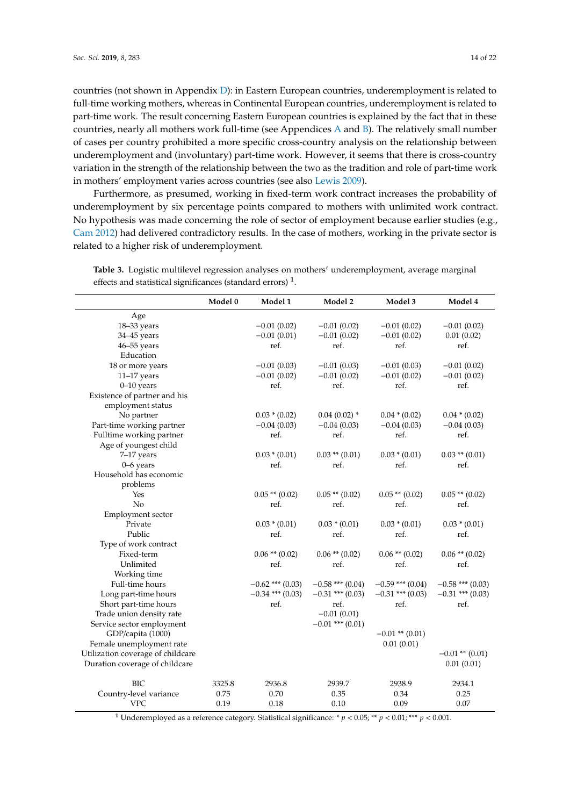countries (not shown in Appendix [D\)](#page-18-0): in Eastern European countries, underemployment is related to full-time working mothers, whereas in Continental European countries, underemployment is related to part-time work. The result concerning Eastern European countries is explained by the fact that in these countries, nearly all mothers work full-time (see Appendices [A](#page-16-0) and [B\)](#page-17-0). The relatively small number of cases per country prohibited a more specific cross-country analysis on the relationship between underemployment and (involuntary) part-time work. However, it seems that there is cross-country variation in the strength of the relationship between the two as the tradition and role of part-time work in mothers' employment varies across countries (see also [Lewis 2009\)](#page-21-7).

Furthermore, as presumed, working in fixed-term work contract increases the probability of underemployment by six percentage points compared to mothers with unlimited work contract. No hypothesis was made concerning the role of sector of employment because earlier studies (e.g., [Cam 2012\)](#page-19-2) had delivered contradictory results. In the case of mothers, working in the private sector is related to a higher risk of underemployment.

|                                   | Model 0 | Model 1            | Model 2              | Model 3             | Model 4             |
|-----------------------------------|---------|--------------------|----------------------|---------------------|---------------------|
| Age                               |         |                    |                      |                     |                     |
| 18-33 years                       |         | $-0.01(0.02)$      | $-0.01(0.02)$        | $-0.01(0.02)$       | $-0.01(0.02)$       |
| 34-45 years                       |         | $-0.01(0.01)$      | $-0.01(0.02)$        | $-0.01(0.02)$       | 0.01(0.02)          |
| $46 - 55$ years                   |         | ref.               | ref.                 | ref.                | ref.                |
| Education                         |         |                    |                      |                     |                     |
| 18 or more years                  |         | $-0.01(0.03)$      | $-0.01(0.03)$        | $-0.01(0.03)$       | $-0.01(0.02)$       |
| $11-17$ years                     |         | $-0.01(0.02)$      | $-0.01(0.02)$        | $-0.01(0.02)$       | $-0.01(0.02)$       |
| $0 - 10$ years                    |         | ref.               | ref.                 | ref.                | ref.                |
| Existence of partner and his      |         |                    |                      |                     |                     |
| employment status                 |         |                    |                      |                     |                     |
| No partner                        |         | $0.03 * (0.02)$    | $0.04(0.02)$ *       | $0.04 * (0.02)$     | $0.04 * (0.02)$     |
| Part-time working partner         |         | $-0.04(0.03)$      | $-0.04(0.03)$        | $-0.04(0.03)$       | $-0.04(0.03)$       |
| Fulltime working partner          |         | ref.               | ref.                 | ref.                | ref.                |
| Age of youngest child             |         |                    |                      |                     |                     |
| 7-17 years                        |         | $0.03 * (0.01)$    | $0.03$ ** $(0.01)$   | $0.03 * (0.01)$     | $0.03$ ** $(0.01)$  |
| $0 - 6$ years                     |         | ref.               | ref.                 | ref.                | ref.                |
| Household has economic            |         |                    |                      |                     |                     |
| problems                          |         |                    |                      |                     |                     |
| Yes                               |         | $0.05$ ** $(0.02)$ | $0.05$ ** $(0.02)$   | $0.05$ ** $(0.02)$  | $0.05$ ** $(0.02)$  |
| No                                |         | ref.               | ref.                 | ref.                | ref.                |
| Employment sector                 |         |                    |                      |                     |                     |
| Private                           |         | $0.03 * (0.01)$    | $0.03 * (0.01)$      | $0.03 * (0.01)$     | $0.03 * (0.01)$     |
| Public                            |         | ref.               | ref.                 | ref.                | ref.                |
| Type of work contract             |         |                    |                      |                     |                     |
| Fixed-term                        |         | $0.06$ ** $(0.02)$ | $0.06$ ** $(0.02)$   | $0.06$ ** $(0.02)$  | $0.06$ ** $(0.02)$  |
| Unlimited                         |         | ref.               | ref.                 | ref.                | ref.                |
| Working time                      |         |                    |                      |                     |                     |
| Full-time hours                   |         | $-0.62$ *** (0.03) | $-0.58$ *** (0.04)   | $-0.59$ *** (0.04)  | $-0.58$ *** (0.03)  |
| Long part-time hours              |         | $-0.34$ *** (0.03) | $-0.31$ *** (0.03)   | $-0.31$ *** (0.03)  | $-0.31$ *** (0.03)  |
| Short part-time hours             |         | ref.               | ref.                 | ref.                | ref.                |
| Trade union density rate          |         |                    | $-0.01(0.01)$        |                     |                     |
| Service sector employment         |         |                    | $-0.01$ *** $(0.01)$ |                     |                     |
| GDP/capita (1000)                 |         |                    |                      | $-0.01$ ** $(0.01)$ |                     |
| Female unemployment rate          |         |                    |                      | 0.01(0.01)          |                     |
| Utilization coverage of childcare |         |                    |                      |                     | $-0.01$ ** $(0.01)$ |
| Duration coverage of childcare    |         |                    |                      |                     | 0.01(0.01)          |
| <b>BIC</b>                        | 3325.8  | 2936.8             | 2939.7               | 2938.9              | 2934.1              |
| Country-level variance            | 0.75    | 0.70               | 0.35                 | 0.34                | 0.25                |
| <b>VPC</b>                        | 0.19    | 0.18               | 0.10                 | 0.09                | 0.07                |

<span id="page-13-0"></span>**Table 3.** Logistic multilevel regression analyses on mothers' underemployment, average marginal effects and statistical significances (standard errors) **<sup>1</sup>** .

**<sup>1</sup>** Underemployed as a reference category. Statistical significance: \* *p* < 0.05; \*\* *p* < 0.01; \*\*\* *p* < 0.001.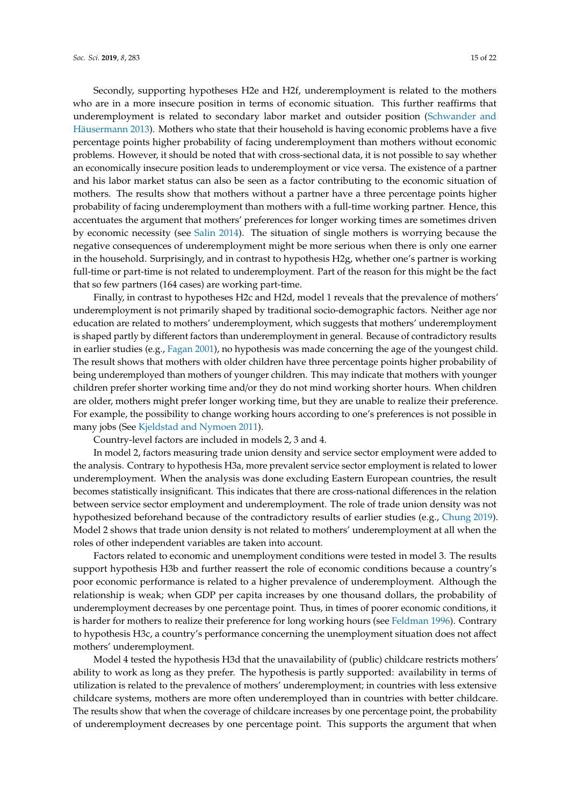Secondly, supporting hypotheses H2e and H2f, underemployment is related to the mothers who are in a more insecure position in terms of economic situation. This further reaffirms that underemployment is related to secondary labor market and outsider position [\(Schwander and](#page-21-6) [Häusermann 2013\)](#page-21-6). Mothers who state that their household is having economic problems have a five percentage points higher probability of facing underemployment than mothers without economic problems. However, it should be noted that with cross-sectional data, it is not possible to say whether an economically insecure position leads to underemployment or vice versa. The existence of a partner and his labor market status can also be seen as a factor contributing to the economic situation of mothers. The results show that mothers without a partner have a three percentage points higher probability of facing underemployment than mothers with a full-time working partner. Hence, this accentuates the argument that mothers' preferences for longer working times are sometimes driven by economic necessity (see [Salin 2014\)](#page-21-3). The situation of single mothers is worrying because the negative consequences of underemployment might be more serious when there is only one earner in the household. Surprisingly, and in contrast to hypothesis H2g, whether one's partner is working full-time or part-time is not related to underemployment. Part of the reason for this might be the fact that so few partners (164 cases) are working part-time.

Finally, in contrast to hypotheses H2c and H2d, model 1 reveals that the prevalence of mothers' underemployment is not primarily shaped by traditional socio-demographic factors. Neither age nor education are related to mothers' underemployment, which suggests that mothers' underemployment is shaped partly by different factors than underemployment in general. Because of contradictory results in earlier studies (e.g., [Fagan 2001\)](#page-20-16), no hypothesis was made concerning the age of the youngest child. The result shows that mothers with older children have three percentage points higher probability of being underemployed than mothers of younger children. This may indicate that mothers with younger children prefer shorter working time and/or they do not mind working shorter hours. When children are older, mothers might prefer longer working time, but they are unable to realize their preference. For example, the possibility to change working hours according to one's preferences is not possible in many jobs (See [Kjeldstad and Nymoen 2011\)](#page-20-6).

Country-level factors are included in models 2, 3 and 4.

In model 2, factors measuring trade union density and service sector employment were added to the analysis. Contrary to hypothesis H3a, more prevalent service sector employment is related to lower underemployment. When the analysis was done excluding Eastern European countries, the result becomes statistically insignificant. This indicates that there are cross-national differences in the relation between service sector employment and underemployment. The role of trade union density was not hypothesized beforehand because of the contradictory results of earlier studies (e.g., [Chung 2019\)](#page-20-10). Model 2 shows that trade union density is not related to mothers' underemployment at all when the roles of other independent variables are taken into account.

Factors related to economic and unemployment conditions were tested in model 3. The results support hypothesis H3b and further reassert the role of economic conditions because a country's poor economic performance is related to a higher prevalence of underemployment. Although the relationship is weak; when GDP per capita increases by one thousand dollars, the probability of underemployment decreases by one percentage point. Thus, in times of poorer economic conditions, it is harder for mothers to realize their preference for long working hours (see [Feldman 1996\)](#page-20-20). Contrary to hypothesis H3c, a country's performance concerning the unemployment situation does not affect mothers' underemployment.

Model 4 tested the hypothesis H3d that the unavailability of (public) childcare restricts mothers' ability to work as long as they prefer. The hypothesis is partly supported: availability in terms of utilization is related to the prevalence of mothers' underemployment; in countries with less extensive childcare systems, mothers are more often underemployed than in countries with better childcare. The results show that when the coverage of childcare increases by one percentage point, the probability of underemployment decreases by one percentage point. This supports the argument that when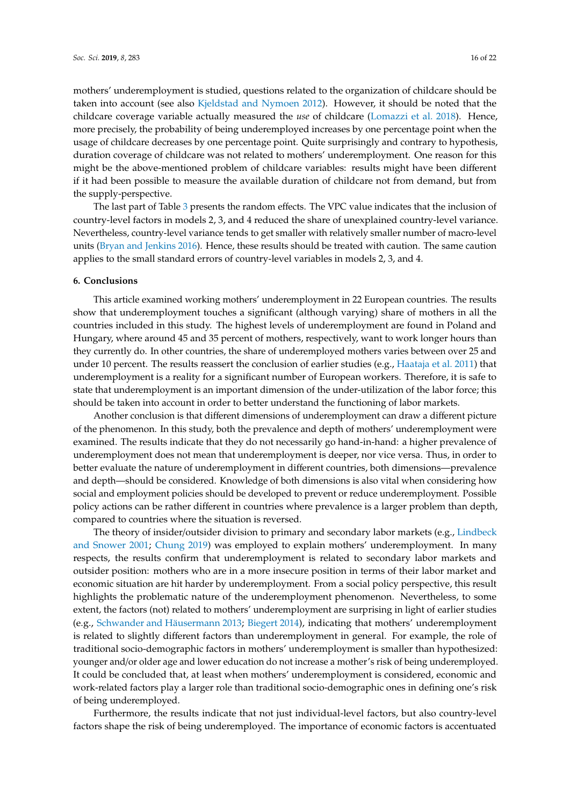mothers' underemployment is studied, questions related to the organization of childcare should be taken into account (see also [Kjeldstad and Nymoen 2012\)](#page-21-2). However, it should be noted that the childcare coverage variable actually measured the *use* of childcare [\(Lomazzi et al. 2018\)](#page-21-19). Hence, more precisely, the probability of being underemployed increases by one percentage point when the usage of childcare decreases by one percentage point. Quite surprisingly and contrary to hypothesis, duration coverage of childcare was not related to mothers' underemployment. One reason for this might be the above-mentioned problem of childcare variables: results might have been different if it had been possible to measure the available duration of childcare not from demand, but from the supply-perspective.

The last part of Table [3](#page-13-0) presents the random effects. The VPC value indicates that the inclusion of country-level factors in models 2, 3, and 4 reduced the share of unexplained country-level variance. Nevertheless, country-level variance tends to get smaller with relatively smaller number of macro-level units [\(Bryan and Jenkins 2016\)](#page-19-8). Hence, these results should be treated with caution. The same caution applies to the small standard errors of country-level variables in models 2, 3, and 4.

#### **6. Conclusions**

This article examined working mothers' underemployment in 22 European countries. The results show that underemployment touches a significant (although varying) share of mothers in all the countries included in this study. The highest levels of underemployment are found in Poland and Hungary, where around 45 and 35 percent of mothers, respectively, want to work longer hours than they currently do. In other countries, the share of underemployed mothers varies between over 25 and under 10 percent. The results reassert the conclusion of earlier studies (e.g., [Haataja et al. 2011\)](#page-20-4) that underemployment is a reality for a significant number of European workers. Therefore, it is safe to state that underemployment is an important dimension of the under-utilization of the labor force; this should be taken into account in order to better understand the functioning of labor markets.

Another conclusion is that different dimensions of underemployment can draw a different picture of the phenomenon. In this study, both the prevalence and depth of mothers' underemployment were examined. The results indicate that they do not necessarily go hand-in-hand: a higher prevalence of underemployment does not mean that underemployment is deeper, nor vice versa. Thus, in order to better evaluate the nature of underemployment in different countries, both dimensions—prevalence and depth—should be considered. Knowledge of both dimensions is also vital when considering how social and employment policies should be developed to prevent or reduce underemployment. Possible policy actions can be rather different in countries where prevalence is a larger problem than depth, compared to countries where the situation is reversed.

The theory of insider/outsider division to primary and secondary labor markets (e.g., [Lindbeck](#page-21-5) [and Snower 2001;](#page-21-5) [Chung 2019\)](#page-20-10) was employed to explain mothers' underemployment. In many respects, the results confirm that underemployment is related to secondary labor markets and outsider position: mothers who are in a more insecure position in terms of their labor market and economic situation are hit harder by underemployment. From a social policy perspective, this result highlights the problematic nature of the underemployment phenomenon. Nevertheless, to some extent, the factors (not) related to mothers' underemployment are surprising in light of earlier studies (e.g., [Schwander and Häusermann 2013;](#page-21-6) [Biegert 2014\)](#page-19-3), indicating that mothers' underemployment is related to slightly different factors than underemployment in general. For example, the role of traditional socio-demographic factors in mothers' underemployment is smaller than hypothesized: younger and/or older age and lower education do not increase a mother's risk of being underemployed. It could be concluded that, at least when mothers' underemployment is considered, economic and work-related factors play a larger role than traditional socio-demographic ones in defining one's risk of being underemployed.

Furthermore, the results indicate that not just individual-level factors, but also country-level factors shape the risk of being underemployed. The importance of economic factors is accentuated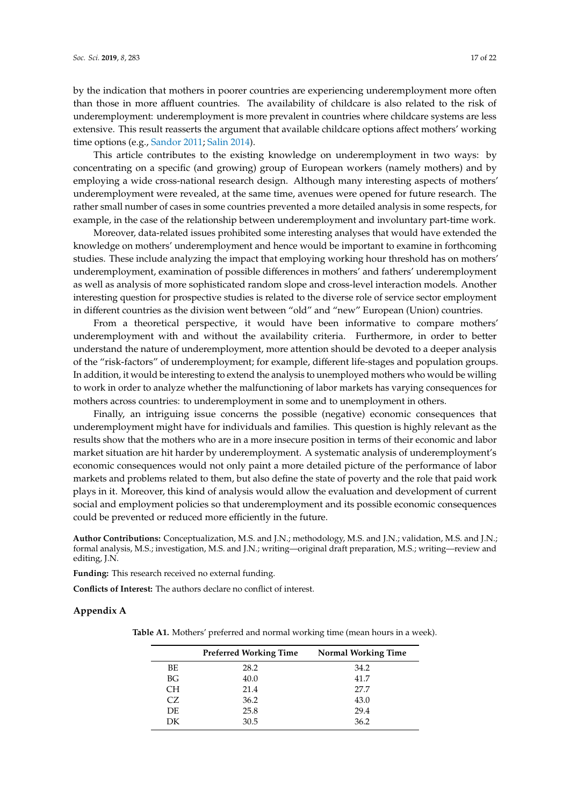by the indication that mothers in poorer countries are experiencing underemployment more often than those in more affluent countries. The availability of childcare is also related to the risk of underemployment: underemployment is more prevalent in countries where childcare systems are less extensive. This result reasserts the argument that available childcare options affect mothers' working time options (e.g., [Sandor 2011;](#page-21-12) [Salin 2014\)](#page-21-3).

This article contributes to the existing knowledge on underemployment in two ways: by concentrating on a specific (and growing) group of European workers (namely mothers) and by employing a wide cross-national research design. Although many interesting aspects of mothers' underemployment were revealed, at the same time, avenues were opened for future research. The rather small number of cases in some countries prevented a more detailed analysis in some respects, for example, in the case of the relationship between underemployment and involuntary part-time work.

Moreover, data-related issues prohibited some interesting analyses that would have extended the knowledge on mothers' underemployment and hence would be important to examine in forthcoming studies. These include analyzing the impact that employing working hour threshold has on mothers' underemployment, examination of possible differences in mothers' and fathers' underemployment as well as analysis of more sophisticated random slope and cross-level interaction models. Another interesting question for prospective studies is related to the diverse role of service sector employment in different countries as the division went between "old" and "new" European (Union) countries.

From a theoretical perspective, it would have been informative to compare mothers' underemployment with and without the availability criteria. Furthermore, in order to better understand the nature of underemployment, more attention should be devoted to a deeper analysis of the "risk-factors" of underemployment; for example, different life-stages and population groups. In addition, it would be interesting to extend the analysis to unemployed mothers who would be willing to work in order to analyze whether the malfunctioning of labor markets has varying consequences for mothers across countries: to underemployment in some and to unemployment in others.

Finally, an intriguing issue concerns the possible (negative) economic consequences that underemployment might have for individuals and families. This question is highly relevant as the results show that the mothers who are in a more insecure position in terms of their economic and labor market situation are hit harder by underemployment. A systematic analysis of underemployment's economic consequences would not only paint a more detailed picture of the performance of labor markets and problems related to them, but also define the state of poverty and the role that paid work plays in it. Moreover, this kind of analysis would allow the evaluation and development of current social and employment policies so that underemployment and its possible economic consequences could be prevented or reduced more efficiently in the future.

**Author Contributions:** Conceptualization, M.S. and J.N.; methodology, M.S. and J.N.; validation, M.S. and J.N.; formal analysis, M.S.; investigation, M.S. and J.N.; writing—original draft preparation, M.S.; writing—review and editing, J.N.

**Funding:** This research received no external funding.

**Conflicts of Interest:** The authors declare no conflict of interest.

#### <span id="page-16-0"></span>**Appendix A**

**Table A1.** Mothers' preferred and normal working time (mean hours in a week).

|     | <b>Preferred Working Time</b> | <b>Normal Working Time</b> |
|-----|-------------------------------|----------------------------|
| BE  | 28.2                          | 34.2                       |
| BG  | 40.0                          | 41.7                       |
| CН  | 21.4                          | 27.7                       |
| CZ. | 36.2                          | 43.0                       |
| DE  | 25.8                          | 29.4                       |
| DК  | 30.5                          | 36.2                       |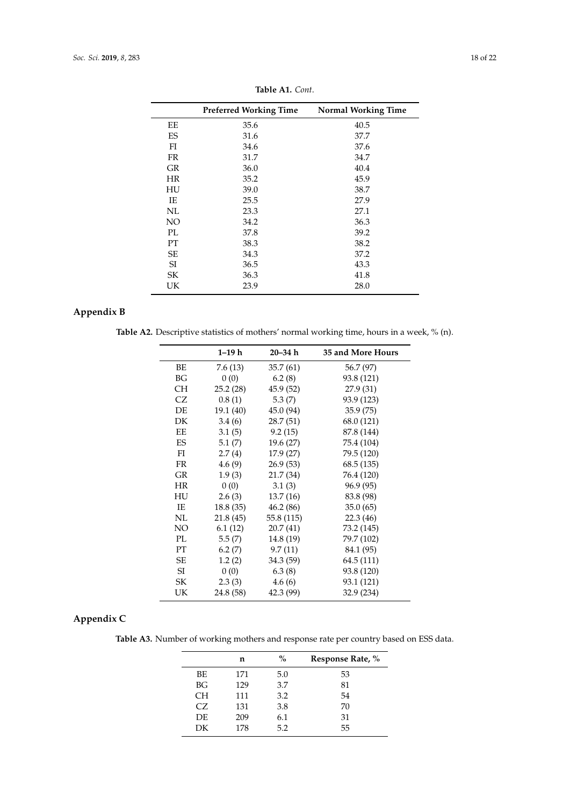|               | <b>Preferred Working Time</b> | <b>Normal Working Time</b> |
|---------------|-------------------------------|----------------------------|
| EE            | 35.6                          | 40.5                       |
| ES            | 31.6                          | 37.7                       |
| FI            | 34.6                          | 37.6                       |
| <b>FR</b>     | 31.7                          | 34.7                       |
| <b>GR</b>     | 36.0                          | 40.4                       |
| <b>HR</b>     | 35.2                          | 45.9                       |
| HU            | 39.0                          | 38.7                       |
| IE            | 25.5                          | 27.9                       |
| NL            | 23.3                          | 27.1                       |
| NO            | 34.2                          | 36.3                       |
| PI.           | 37.8                          | 39.2                       |
| PT            | 38.3                          | 38.2                       |
| SE            | 34.3                          | 37.2                       |
| <sup>SI</sup> | 36.5                          | 43.3                       |
| SК            | 36.3                          | 41.8                       |
| UK            | 23.9                          | 28.0                       |
|               |                               |                            |

**Table A1.** *Cont*.

## <span id="page-17-0"></span>**Appendix B**

Table A2. Descriptive statistics of mothers' normal working time, hours in a week, % (n).

|           | 1–19 h    | $20 - 34 h$ | 35 and More Hours |
|-----------|-----------|-------------|-------------------|
| BE        | 7.6(13)   | 35.7(61)    | 56.7 (97)         |
| BG        | 0(0)      | 6.2(8)      | 93.8 (121)        |
| СH        | 25.2(28)  | 45.9(52)    | 27.9 (31)         |
| CZ        | 0.8(1)    | 5.3(7)      | 93.9 (123)        |
| DE        | 19.1 (40) | 45.0 (94)   | 35.9(75)          |
| DK        | 3.4(6)    | 28.7(51)    | 68.0 (121)        |
| EE        | 3.1(5)    | 9.2(15)     | 87.8 (144)        |
| ES        | 5.1(7)    | 19.6 (27)   | 75.4 (104)        |
| FI        | 2.7(4)    | 17.9(27)    | 79.5 (120)        |
| <b>FR</b> | 4.6(9)    | 26.9(53)    | 68.5(135)         |
| GR        | 1.9(3)    | 21.7 (34)   | 76.4 (120)        |
| <b>HR</b> | 0(0)      | 3.1(3)      | 96.9 (95)         |
| HU        | 2.6(3)    | 13.7(16)    | 83.8 (98)         |
| IE        | 18.8(35)  | 46.2(86)    | 35.0(65)          |
| NL        | 21.8 (45) | 55.8 (115)  | 22.3(46)          |
| NO.       | 6.1(12)   | 20.7(41)    | 73.2 (145)        |
| PL        | 5.5(7)    | 14.8 (19)   | 79.7 (102)        |
| PT        | 6.2(7)    | 9.7(11)     | 84.1 (95)         |
| SE        | 1.2(2)    | 34.3 (59)   | 64.5 (111)        |
| SI        | 0(0)      | 6.3(8)      | 93.8 (120)        |
| SK        | 2.3(3)    | 4.6(6)      | 93.1 (121)        |
| UK        | 24.8 (58) | 42.3 (99)   | 32.9 (234)        |

## <span id="page-17-1"></span>**Appendix C**

**Table A3.** Number of working mothers and response rate per country based on ESS data.

|           | n   | %   | Response Rate, % |
|-----------|-----|-----|------------------|
| BE.       | 171 | 5.0 | 53               |
| BG        | 129 | 3.7 | 81               |
| <b>CH</b> | 111 | 3.2 | 54               |
| CZ.       | 131 | 3.8 | 70               |
| DF.       | 209 | 6.1 | 31               |
| DK        | 178 | 5.2 | 55               |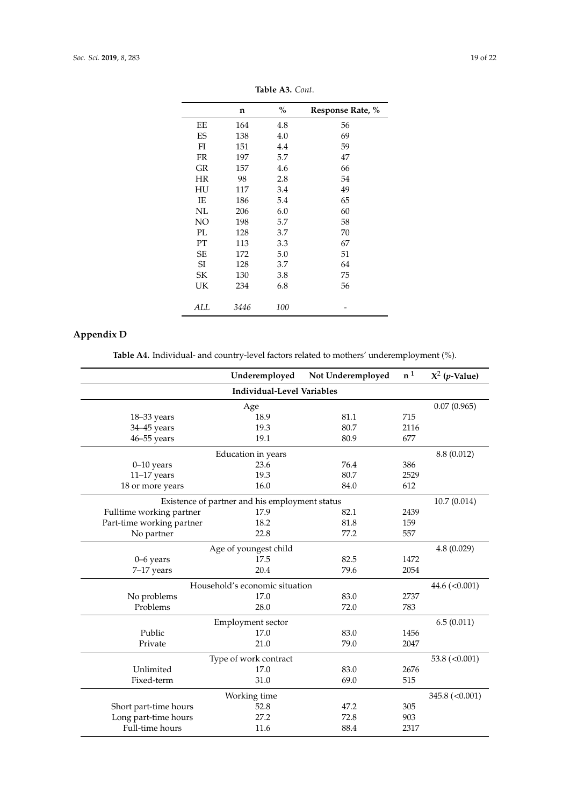|           | n    | $\%$ | Response Rate, % |
|-----------|------|------|------------------|
| EЕ        | 164  | 4.8  | 56               |
| ES        | 138  | 4.0  | 69               |
| FI        | 151  | 4.4  | 59               |
| <b>FR</b> | 197  | 5.7  | 47               |
| GR        | 157  | 4.6  | 66               |
| HR        | 98   | 2.8  | 54               |
| HU        | 117  | 3.4  | 49               |
| IE        | 186  | 5.4  | 65               |
| NL        | 206  | 6.0  | 60               |
| NO        | 198  | 5.7  | 58               |
| PL        | 128  | 3.7  | 70               |
| PT        | 113  | 3.3  | 67               |
| <b>SE</b> | 172  | 5.0  | 51               |
| SI        | 128  | 3.7  | 64               |
| SK        | 130  | 3.8  | 75               |
| UK        | 234  | 6.8  | 56               |
| ALL       | 3446 | 100  |                  |

**Table A3.** *Cont*.

# <span id="page-18-0"></span>**Appendix D**

**Table A4.** Individual- and country-level factors related to mothers' underemployment (%).

|                                   | Underemployed                                  | Not Underemployed | $\mathbf{n}^{\,1}$ | $X^2$ ( <i>p</i> -Value) |  |  |
|-----------------------------------|------------------------------------------------|-------------------|--------------------|--------------------------|--|--|
| <b>Individual-Level Variables</b> |                                                |                   |                    |                          |  |  |
|                                   |                                                | 0.07(0.965)       |                    |                          |  |  |
| 18-33 years                       | Age<br>18.9                                    | 81.1              | 715                |                          |  |  |
| 34-45 years                       | 19.3                                           | 80.7              | 2116               |                          |  |  |
| $46 - 55$ years                   | 19.1                                           | 80.9              | 677                |                          |  |  |
|                                   | Education in years                             |                   |                    | 8.8 (0.012)              |  |  |
| $0-10$ years                      | 23.6                                           | 76.4              | 386                |                          |  |  |
| $11-17$ years                     | 19.3                                           | 80.7              | 2529               |                          |  |  |
| 18 or more years                  | 16.0                                           | 84.0              | 612                |                          |  |  |
|                                   | Existence of partner and his employment status |                   |                    | 10.7(0.014)              |  |  |
| Fulltime working partner          | 17.9                                           | 82.1              | 2439               |                          |  |  |
| Part-time working partner         | 18.2                                           | 81.8              | 159                |                          |  |  |
| No partner                        | 22.8                                           | 77.2              | 557                |                          |  |  |
|                                   | Age of youngest child                          |                   |                    | 4.8(0.029)               |  |  |
| $0 - 6$ years                     | 17.5                                           | 82.5              | 1472               |                          |  |  |
| 7-17 years                        | 20.4                                           | 79.6              | 2054               |                          |  |  |
|                                   | Household's economic situation                 |                   |                    | 44.6 $(<0.001)$          |  |  |
| No problems                       | 17.0                                           | 83.0              | 2737               |                          |  |  |
| Problems                          | 28.0                                           | 72.0              | 783                |                          |  |  |
|                                   | Employment sector                              |                   |                    | 6.5(0.011)               |  |  |
| Public                            | 17.0                                           | 83.0              | 1456               |                          |  |  |
| Private                           | 21.0                                           | 79.0              | 2047               |                          |  |  |
| Type of work contract             | 53.8 $(<0.001)$                                |                   |                    |                          |  |  |
| Unlimited                         | 17.0                                           | 83.0              | 2676               |                          |  |  |
| Fixed-term                        | 31.0                                           | 69.0              | 515                |                          |  |  |
|                                   | 345.8 $(<0.001$ )                              |                   |                    |                          |  |  |
| Short part-time hours             | Working time<br>52.8                           | 47.2              | 305                |                          |  |  |
| Long part-time hours              | 27.2                                           | 72.8              | 903                |                          |  |  |
| Full-time hours                   | 11.6                                           | 88.4              | 2317               |                          |  |  |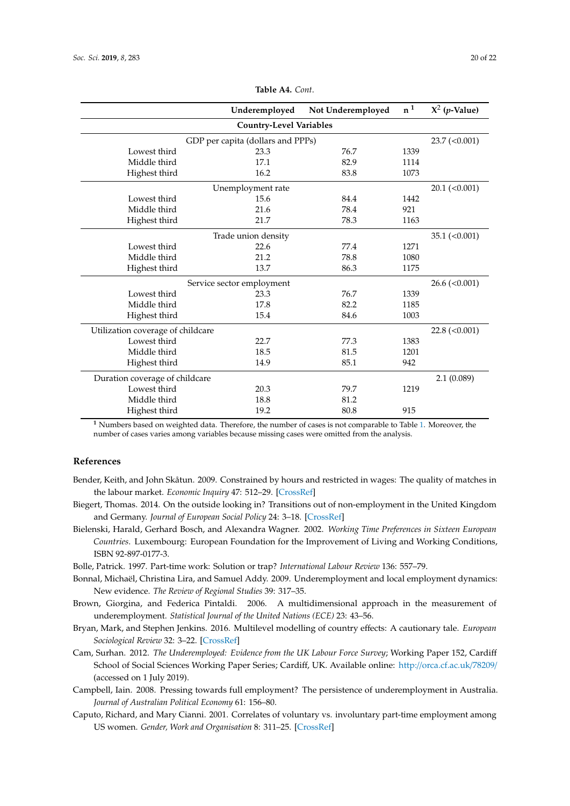|                                   | Underemployed                     | Not Underemployed | n <sup>1</sup> | $X^2$ ( <i>p</i> -Value)         |  |  |  |
|-----------------------------------|-----------------------------------|-------------------|----------------|----------------------------------|--|--|--|
|                                   | <b>Country-Level Variables</b>    |                   |                |                                  |  |  |  |
|                                   | GDP per capita (dollars and PPPs) |                   |                | $23.7 \left( \leq 0.001 \right)$ |  |  |  |
| Lowest third                      | 23.3                              | 76.7              | 1339           |                                  |  |  |  |
| Middle third                      | 17.1                              | 82.9              | 1114           |                                  |  |  |  |
| Highest third                     | 16.2                              | 83.8              | 1073           |                                  |  |  |  |
|                                   | Unemployment rate                 |                   |                | $20.1$ (<0.001)                  |  |  |  |
| Lowest third                      | 15.6                              | 84.4              | 1442           |                                  |  |  |  |
| Middle third                      | 21.6                              | 78.4              | 921            |                                  |  |  |  |
| Highest third                     | 21.7                              | 78.3              | 1163           |                                  |  |  |  |
|                                   | Trade union density               |                   |                | $35.1 \left( < 0.001 \right)$    |  |  |  |
| Lowest third                      | 22.6                              | 77.4              | 1271           |                                  |  |  |  |
| Middle third                      | 21.2                              | 78.8              | 1080           |                                  |  |  |  |
| Highest third                     | 13.7                              | 86.3              | 1175           |                                  |  |  |  |
|                                   | Service sector employment         |                   |                | $26.6 \approx (0.001)$           |  |  |  |
| Lowest third                      | 23.3                              | 76.7              | 1339           |                                  |  |  |  |
| Middle third                      | 17.8                              | 82.2              | 1185           |                                  |  |  |  |
| Highest third                     | 15.4                              | 84.6              | 1003           |                                  |  |  |  |
| Utilization coverage of childcare |                                   |                   |                | $22.8 \approx (0.001)$           |  |  |  |
| Lowest third                      | 22.7                              | 77.3              | 1383           |                                  |  |  |  |
| Middle third                      | 18.5                              | 81.5              | 1201           |                                  |  |  |  |
| Highest third                     | 14.9                              | 85.1              | 942            |                                  |  |  |  |
| Duration coverage of childcare    | 2.1(0.089)                        |                   |                |                                  |  |  |  |
| Lowest third                      | 20.3                              | 79.7              | 1219           |                                  |  |  |  |
| Middle third                      | 18.8                              | 81.2              |                |                                  |  |  |  |
| Highest third                     | 19.2                              | 80.8              | 915            |                                  |  |  |  |

**Table A4.** *Cont*.

**<sup>1</sup>** Numbers based on weighted data. Therefore, the number of cases is not comparable to Table [1.](#page-9-0) Moreover, the number of cases varies among variables because missing cases were omitted from the analysis.

#### **References**

- <span id="page-19-9"></span>Bender, Keith, and John Skåtun. 2009. Constrained by hours and restricted in wages: The quality of matches in the labour market. *Economic Inquiry* 47: 512–29. [\[CrossRef\]](http://dx.doi.org/10.1111/j.1465-7295.2008.00159.x)
- <span id="page-19-3"></span>Biegert, Thomas. 2014. On the outside looking in? Transitions out of non-employment in the United Kingdom and Germany. *Journal of European Social Policy* 24: 3–18. [\[CrossRef\]](http://dx.doi.org/10.1177/0958928713511283)
- <span id="page-19-6"></span>Bielenski, Harald, Gerhard Bosch, and Alexandra Wagner. 2002. *Working Time Preferences in Sixteen European Countries*. Luxembourg: European Foundation for the Improvement of Living and Working Conditions, ISBN 92-897-0177-3.
- <span id="page-19-7"></span>Bolle, Patrick. 1997. Part-time work: Solution or trap? *International Labour Review* 136: 557–79.
- <span id="page-19-1"></span>Bonnal, Michaël, Christina Lira, and Samuel Addy. 2009. Underemployment and local employment dynamics: New evidence. *The Review of Regional Studies* 39: 317–35.
- <span id="page-19-4"></span>Brown, Giorgina, and Federica Pintaldi. 2006. A multidimensional approach in the measurement of underemployment. *Statistical Journal of the United Nations (ECE)* 23: 43–56.
- <span id="page-19-8"></span>Bryan, Mark, and Stephen Jenkins. 2016. Multilevel modelling of country effects: A cautionary tale. *European Sociological Review* 32: 3–22. [\[CrossRef\]](http://dx.doi.org/10.1093/esr/jcv059)
- <span id="page-19-2"></span>Cam, Surhan. 2012. *The Underemployed: Evidence from the UK Labour Force Survey*; Working Paper 152, Cardiff School of Social Sciences Working Paper Series; Cardiff, UK. Available online: http://[orca.cf.ac.uk](http://orca.cf.ac.uk/78209/)/78209/ (accessed on 1 July 2019).
- <span id="page-19-0"></span>Campbell, Iain. 2008. Pressing towards full employment? The persistence of underemployment in Australia. *Journal of Australian Political Economy* 61: 156–80.
- <span id="page-19-5"></span>Caputo, Richard, and Mary Cianni. 2001. Correlates of voluntary vs. involuntary part-time employment among US women. *Gender, Work and Organisation* 8: 311–25. [\[CrossRef\]](http://dx.doi.org/10.1111/1468-0432.00134)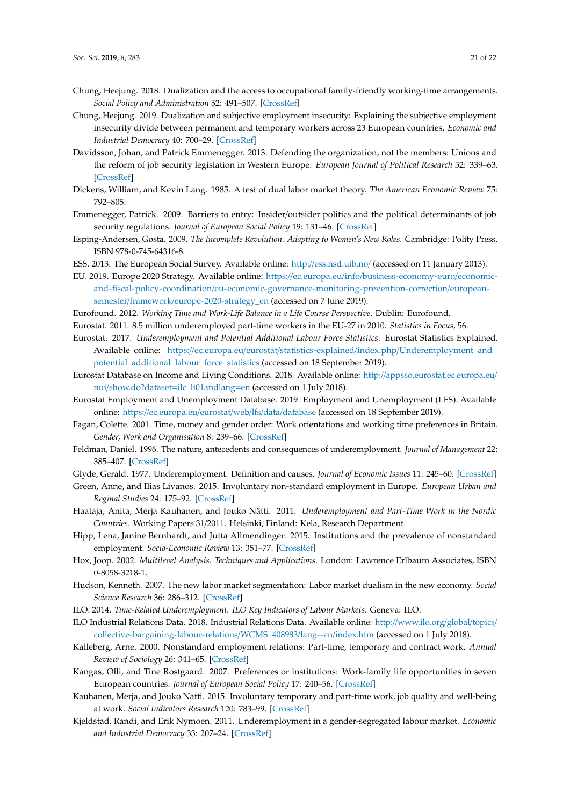- <span id="page-20-15"></span>Chung, Heejung. 2018. Dualization and the access to occupational family-friendly working-time arrangements. *Social Policy and Administration* 52: 491–507. [\[CrossRef\]](http://dx.doi.org/10.1111/spol.12379)
- <span id="page-20-10"></span>Chung, Heejung. 2019. Dualization and subjective employment insecurity: Explaining the subjective employment insecurity divide between permanent and temporary workers across 23 European countries. *Economic and Industrial Democracy* 40: 700–29. [\[CrossRef\]](http://dx.doi.org/10.1177/0143831X16656411)
- <span id="page-20-19"></span>Davidsson, Johan, and Patrick Emmenegger. 2013. Defending the organization, not the members: Unions and the reform of job security legislation in Western Europe. *European Journal of Political Research* 52: 339–63. [\[CrossRef\]](http://dx.doi.org/10.1111/j.1475-6765.2012.02073.x)
- <span id="page-20-7"></span>Dickens, William, and Kevin Lang. 1985. A test of dual labor market theory. *The American Economic Review* 75: 792–805.
- <span id="page-20-18"></span>Emmenegger, Patrick. 2009. Barriers to entry: Insider/outsider politics and the political determinants of job security regulations. *Journal of European Social Policy* 19: 131–46. [\[CrossRef\]](http://dx.doi.org/10.1177/0958928708101866)
- <span id="page-20-21"></span>Esping-Andersen, Gøsta. 2009. *The Incomplete Revolution. Adapting to Women's New Roles*. Cambridge: Polity Press, ISBN 978-0-745-64316-8.
- <span id="page-20-22"></span>ESS. 2013. The European Social Survey. Available online: http://[ess.nsd.uib.no](http://ess.nsd.uib.no/)/ (accessed on 11 January 2013).
- <span id="page-20-1"></span>EU. 2019. Europe 2020 Strategy. Available online: https://ec.europa.eu/info/[business-economy-euro](https://ec.europa.eu/info/business-economy-euro/economic-and-fiscal-policy-coordination/eu-economic-governance-monitoring-prevention-correction/european-semester/framework/europe-2020-strategy_en)/economicand-fiscal-policy-coordination/[eu-economic-governance-monitoring-prevention-correction](https://ec.europa.eu/info/business-economy-euro/economic-and-fiscal-policy-coordination/eu-economic-governance-monitoring-prevention-correction/european-semester/framework/europe-2020-strategy_en)/europeansemester/framework/[europe-2020-strategy\\_en](https://ec.europa.eu/info/business-economy-euro/economic-and-fiscal-policy-coordination/eu-economic-governance-monitoring-prevention-correction/european-semester/framework/europe-2020-strategy_en) (accessed on 7 June 2019).
- <span id="page-20-17"></span><span id="page-20-3"></span>Eurofound. 2012. *Working Time and Work-Life Balance in a Life Course Perspective*. Dublin: Eurofound.
- <span id="page-20-5"></span>Eurostat. 2011. 8.5 million underemployed part-time workers in the EU-27 in 2010. *Statistics in Focus*, 56.
- Eurostat. 2017. *Underemployment and Potential Additional Labour Force Statistics*. Eurostat Statistics Explained. Available online: https://ec.europa.eu/eurostat/statistics-explained/index.php/[Underemployment\\_and\\_](https://ec.europa.eu/eurostat/statistics-explained/index.php/Underemployment_and_potential_additional_labour_force_statistics) [potential\\_additional\\_labour\\_force\\_statistics](https://ec.europa.eu/eurostat/statistics-explained/index.php/Underemployment_and_potential_additional_labour_force_statistics) (accessed on 18 September 2019).
- <span id="page-20-25"></span>Eurostat Database on Income and Living Conditions. 2018. Available online: http://[appsso.eurostat.ec.europa.eu](http://appsso.eurostat.ec.europa.eu/nui/show.do?dataset=ilc_li01andlang=en)/ nui/[show.do?dataset](http://appsso.eurostat.ec.europa.eu/nui/show.do?dataset=ilc_li01andlang=en)=ilc\_li01andlang=en (accessed on 1 July 2018).
- <span id="page-20-23"></span>Eurostat Employment and Unemployment Database. 2019. Employment and Unemployment (LFS). Available online: https://[ec.europa.eu](https://ec.europa.eu/eurostat/web/lfs/data/database)/eurostat/web/lfs/data/database (accessed on 18 September 2019).
- <span id="page-20-16"></span>Fagan, Colette. 2001. Time, money and gender order: Work orientations and working time preferences in Britain. *Gender, Work and Organisation* 8: 239–66. [\[CrossRef\]](http://dx.doi.org/10.1111/1468-0432.00131)
- <span id="page-20-20"></span>Feldman, Daniel. 1996. The nature, antecedents and consequences of underemployment. *Journal of Management* 22: 385–407. [\[CrossRef\]](http://dx.doi.org/10.1177/014920639602200302)
- <span id="page-20-2"></span>Glyde, Gerald. 1977. Underemployment: Definition and causes. *Journal of Economic Issues* 11: 245–60. [\[CrossRef\]](http://dx.doi.org/10.1080/00213624.1977.11503434)
- <span id="page-20-11"></span>Green, Anne, and Ilias Livanos. 2015. Involuntary non-standard employment in Europe. *European Urban and Reginal Studies* 24: 175–92. [\[CrossRef\]](http://dx.doi.org/10.1177/0969776415622257)
- <span id="page-20-4"></span>Haataja, Anita, Merja Kauhanen, and Jouko Nätti. 2011. *Underemployment and Part-Time Work in the Nordic Countries*. Working Papers 31/2011. Helsinki, Finland: Kela, Research Department.
- <span id="page-20-12"></span>Hipp, Lena, Janine Bernhardt, and Jutta Allmendinger. 2015. Institutions and the prevalence of nonstandard employment. *Socio-Economic Review* 13: 351–77. [\[CrossRef\]](http://dx.doi.org/10.1093/ser/mwv002)
- <span id="page-20-26"></span>Hox, Joop. 2002. *Multilevel Analysis. Techniques and Applications*. London: Lawrence Erlbaum Associates, ISBN 0-8058-3218-1.
- <span id="page-20-9"></span>Hudson, Kenneth. 2007. The new labor market segmentation: Labor market dualism in the new economy. *Social Science Research* 36: 286–312. [\[CrossRef\]](http://dx.doi.org/10.1016/j.ssresearch.2005.11.005)
- <span id="page-20-0"></span>ILO. 2014. *Time-Related Underemployment. ILO Key Indicators of Labour Markets*. Geneva: ILO.
- <span id="page-20-24"></span>ILO Industrial Relations Data. 2018. Industrial Relations Data. Available online: http://[www.ilo.org](http://www.ilo.org/global/topics/collective-bargaining-labour-relations/WCMS_408983/lang--en/index.htm)/global/topics/ [collective-bargaining-labour-relations](http://www.ilo.org/global/topics/collective-bargaining-labour-relations/WCMS_408983/lang--en/index.htm)/WCMS\_408983/lang--en/index.htm (accessed on 1 July 2018).
- <span id="page-20-8"></span>Kalleberg, Arne. 2000. Nonstandard employment relations: Part-time, temporary and contract work. *Annual Review of Sociology* 26: 341–65. [\[CrossRef\]](http://dx.doi.org/10.1146/annurev.soc.26.1.341)
- <span id="page-20-14"></span>Kangas, Olli, and Tine Rostgaard. 2007. Preferences or institutions: Work-family life opportunities in seven European countries. *Journal of European Social Policy* 17: 240–56. [\[CrossRef\]](http://dx.doi.org/10.1177/0958928707078367)
- <span id="page-20-13"></span>Kauhanen, Merja, and Jouko Nätti. 2015. Involuntary temporary and part-time work, job quality and well-being at work. *Social Indicators Research* 120: 783–99. [\[CrossRef\]](http://dx.doi.org/10.1007/s11205-014-0617-7)
- <span id="page-20-6"></span>Kjeldstad, Randi, and Erik Nymoen. 2011. Underemployment in a gender-segregated labour market. *Economic and Industrial Democracy* 33: 207–24. [\[CrossRef\]](http://dx.doi.org/10.1177/0143831X11402238)